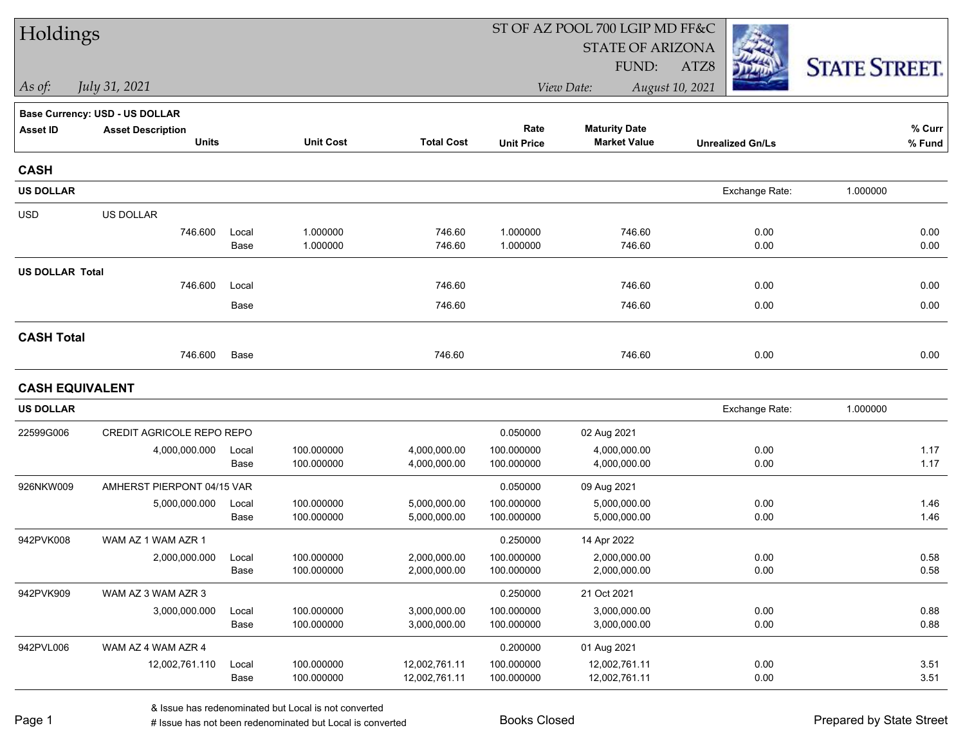| Holdings               |                                |               |                          |                                |                          | ST OF AZ POOL 700 LGIP MD FF&C |                         |                      |
|------------------------|--------------------------------|---------------|--------------------------|--------------------------------|--------------------------|--------------------------------|-------------------------|----------------------|
|                        |                                |               |                          |                                |                          | <b>STATE OF ARIZONA</b>        |                         |                      |
|                        |                                |               |                          |                                |                          | FUND:                          | ATZ8                    | <b>STATE STREET.</b> |
| As of:                 | July 31, 2021                  |               |                          |                                |                          | View Date:                     | August 10, 2021         |                      |
|                        | Base Currency: USD - US DOLLAR |               |                          |                                |                          |                                |                         |                      |
| <b>Asset ID</b>        | <b>Asset Description</b>       |               |                          |                                | Rate                     | <b>Maturity Date</b>           |                         | $%$ Curr             |
|                        | <b>Units</b>                   |               | <b>Unit Cost</b>         | <b>Total Cost</b>              | <b>Unit Price</b>        | <b>Market Value</b>            | <b>Unrealized Gn/Ls</b> | % Fund               |
| <b>CASH</b>            |                                |               |                          |                                |                          |                                |                         |                      |
| <b>US DOLLAR</b>       |                                |               |                          |                                |                          |                                | Exchange Rate:          | 1.000000             |
| <b>USD</b>             | US DOLLAR                      |               |                          |                                |                          |                                |                         |                      |
|                        | 746.600                        | Local         | 1.000000                 | 746.60                         | 1.000000                 | 746.60                         | 0.00                    | 0.00                 |
|                        |                                | Base          | 1.000000                 | 746.60                         | 1.000000                 | 746.60                         | 0.00                    | 0.00                 |
| <b>US DOLLAR Total</b> |                                |               |                          |                                |                          |                                |                         |                      |
|                        | 746.600                        | Local         |                          | 746.60                         |                          | 746.60                         | 0.00                    | 0.00                 |
|                        |                                | Base          |                          | 746.60                         |                          | 746.60                         | 0.00                    | 0.00                 |
| <b>CASH Total</b>      |                                |               |                          |                                |                          |                                |                         |                      |
|                        | 746.600                        | Base          |                          | 746.60                         |                          | 746.60                         | 0.00                    | 0.00                 |
| <b>CASH EQUIVALENT</b> |                                |               |                          |                                |                          |                                |                         |                      |
| <b>US DOLLAR</b>       |                                |               |                          |                                |                          |                                | Exchange Rate:          | 1.000000             |
| 22599G006              | CREDIT AGRICOLE REPO REPO      |               |                          |                                | 0.050000                 | 02 Aug 2021                    |                         |                      |
|                        | 4,000,000.000                  | Local         | 100.000000               | 4,000,000.00                   | 100.000000               | 4,000,000.00                   | 0.00                    | 1.17                 |
|                        |                                | Base          | 100.000000               | 4,000,000.00                   | 100.000000               | 4,000,000.00                   | 0.00                    | 1.17                 |
| 926NKW009              | AMHERST PIERPONT 04/15 VAR     |               |                          |                                | 0.050000                 | 09 Aug 2021                    |                         |                      |
|                        | 5,000,000.000                  | Local         | 100.000000               | 5,000,000.00                   | 100.000000               | 5,000,000.00                   | 0.00                    | 1.46                 |
|                        |                                | Base          | 100.000000               | 5,000,000.00                   | 100.000000               | 5,000,000.00                   | 0.00                    | 1.46                 |
| 942PVK008              | WAM AZ 1 WAM AZR 1             |               |                          |                                | 0.250000                 | 14 Apr 2022                    |                         |                      |
|                        | 2,000,000.000                  | Local<br>Base | 100.000000               | 2,000,000.00                   | 100.000000<br>100.000000 | 2,000,000.00<br>2,000,000.00   | 0.00<br>0.00            | 0.58<br>0.58         |
|                        |                                |               | 100.000000               | 2,000,000.00                   |                          |                                |                         |                      |
| 942PVK909              | WAM AZ 3 WAM AZR 3             |               |                          |                                | 0.250000                 | 21 Oct 2021                    |                         |                      |
|                        | 3,000,000.000                  | Local<br>Base | 100.000000<br>100.000000 | 3,000,000.00<br>3,000,000.00   | 100.000000<br>100.000000 | 3,000,000.00<br>3,000,000.00   | 0.00<br>0.00            | 0.88<br>0.88         |
|                        |                                |               |                          |                                |                          |                                |                         |                      |
| 942PVL006              | WAM AZ 4 WAM AZR 4             |               |                          |                                | 0.200000                 | 01 Aug 2021                    |                         |                      |
|                        | 12,002,761.110                 | Local<br>Base | 100.000000<br>100.000000 | 12,002,761.11<br>12,002,761.11 | 100.000000<br>100.000000 | 12,002,761.11<br>12,002,761.11 | 0.00<br>0.00            | 3.51<br>3.51         |
|                        |                                |               |                          |                                |                          |                                |                         |                      |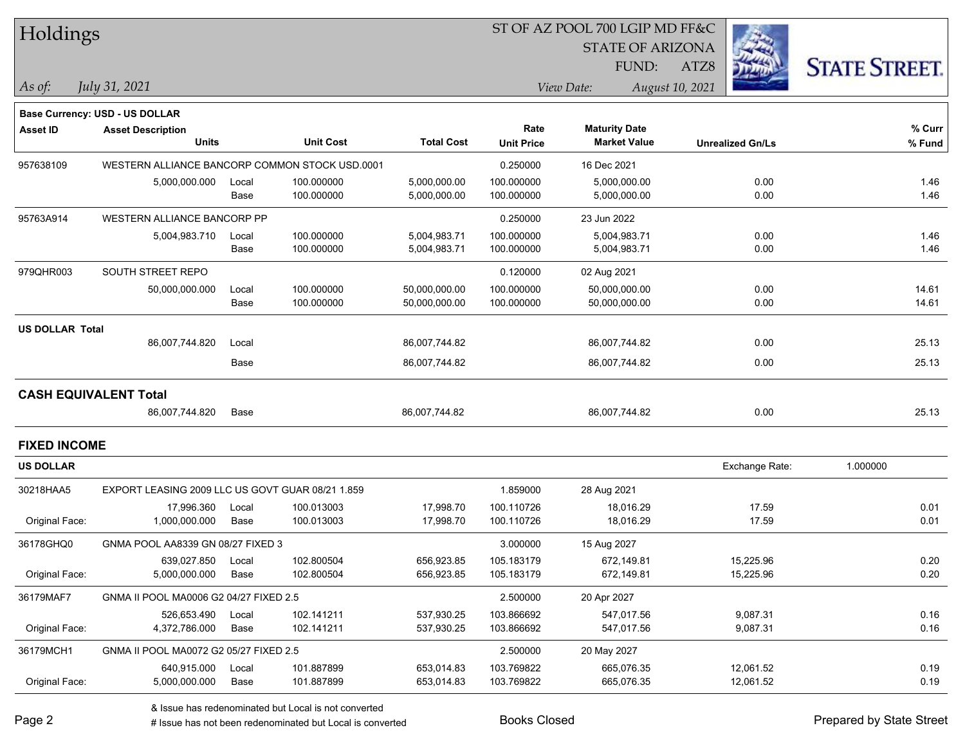# ST OF AZ POOL 700 LGIP MD FF&C

STATE OF ARIZONA

ATZ8



*July 31, 2021*

*As of: View Date: August 10, 2021* FUND:

|          | <b>Base Currency: USD - US DOLLAR</b>   |
|----------|-----------------------------------------|
| $A - 10$ | A concentration of the concentration of |

| <b>Asset ID</b>        | <b>Asset Description</b>                         |       |                  |                   | Rate              | <b>Maturity Date</b> |                         | % Curr   |
|------------------------|--------------------------------------------------|-------|------------------|-------------------|-------------------|----------------------|-------------------------|----------|
|                        | <b>Units</b>                                     |       | <b>Unit Cost</b> | <b>Total Cost</b> | <b>Unit Price</b> | <b>Market Value</b>  | <b>Unrealized Gn/Ls</b> | % Fund   |
| 957638109              | WESTERN ALLIANCE BANCORP COMMON STOCK USD.0001   |       |                  |                   | 0.250000          | 16 Dec 2021          |                         |          |
|                        | 5,000,000.000                                    | Local | 100.000000       | 5,000,000.00      | 100.000000        | 5,000,000.00         | 0.00                    | 1.46     |
|                        |                                                  | Base  | 100.000000       | 5,000,000.00      | 100.000000        | 5,000,000.00         | 0.00                    | 1.46     |
| 95763A914              | <b>WESTERN ALLIANCE BANCORP PP</b>               |       |                  |                   | 0.250000          | 23 Jun 2022          |                         |          |
|                        | 5,004,983.710                                    | Local | 100.000000       | 5,004,983.71      | 100.000000        | 5,004,983.71         | 0.00                    | 1.46     |
|                        |                                                  | Base  | 100.000000       | 5,004,983.71      | 100.000000        | 5,004,983.71         | 0.00                    | 1.46     |
| 979QHR003              | SOUTH STREET REPO                                |       |                  |                   | 0.120000          | 02 Aug 2021          |                         |          |
|                        | 50,000,000.000                                   | Local | 100.000000       | 50,000,000.00     | 100.000000        | 50,000,000.00        | 0.00                    | 14.61    |
|                        |                                                  | Base  | 100.000000       | 50,000,000.00     | 100.000000        | 50,000,000.00        | 0.00                    | 14.61    |
| <b>US DOLLAR Total</b> |                                                  |       |                  |                   |                   |                      |                         |          |
|                        | 86,007,744.820                                   | Local |                  | 86,007,744.82     |                   | 86,007,744.82        | 0.00                    | 25.13    |
|                        |                                                  | Base  |                  | 86,007,744.82     |                   | 86,007,744.82        | 0.00                    | 25.13    |
|                        | <b>CASH EQUIVALENT Total</b>                     |       |                  |                   |                   |                      |                         |          |
|                        | 86,007,744.820                                   | Base  |                  | 86,007,744.82     |                   | 86,007,744.82        | 0.00                    | 25.13    |
| <b>FIXED INCOME</b>    |                                                  |       |                  |                   |                   |                      |                         |          |
| <b>US DOLLAR</b>       |                                                  |       |                  |                   |                   |                      | Exchange Rate:          | 1.000000 |
| 30218HAA5              | EXPORT LEASING 2009 LLC US GOVT GUAR 08/21 1.859 |       |                  |                   | 1.859000          | 28 Aug 2021          |                         |          |
|                        | 17,996.360                                       | Local | 100.013003       | 17,998.70         | 100.110726        | 18,016.29            | 17.59                   | 0.01     |
| Original Face:         | 1,000,000.000                                    | Base  | 100.013003       | 17,998.70         | 100.110726        | 18,016.29            | 17.59                   | 0.01     |
| 36178GHQ0              | GNMA POOL AA8339 GN 08/27 FIXED 3                |       |                  |                   | 3.000000          | 15 Aug 2027          |                         |          |
|                        | 639,027.850                                      | Local | 102.800504       | 656,923.85        | 105.183179        | 672,149.81           | 15,225.96               | 0.20     |
| Original Face:         | 5,000,000.000                                    | Base  | 102.800504       | 656,923.85        | 105.183179        | 672,149.81           | 15,225.96               | 0.20     |

| Original Face: | 5.000.000.000                          | Base  | 102.800504 | 656,923.85 | 105.183179 | 672.149.81  | 15.225.96 | 0.20 |
|----------------|----------------------------------------|-------|------------|------------|------------|-------------|-----------|------|
| 36179MAF7      | GNMA II POOL MA0006 G2 04/27 FIXED 2.5 |       |            |            | 2.500000   | 20 Apr 2027 |           |      |
|                | 526.653.490                            | Local | 102.141211 | 537,930.25 | 103.866692 | 547.017.56  | 9,087.31  | 0.16 |
| Original Face: | 4,372,786.000                          | Base  | 102.141211 | 537,930.25 | 103.866692 | 547.017.56  | 9,087.31  | 0.16 |
| 36179MCH1      | GNMA II POOL MA0072 G2 05/27 FIXED 2.5 |       |            |            | 2.500000   | 20 May 2027 |           |      |
|                | 640.915.000                            | Local | 101.887899 | 653.014.83 | 103.769822 | 665.076.35  | 12,061.52 | 0.19 |
| Original Face: | 5,000,000.000                          | Base  | 101.887899 | 653,014.83 | 103.769822 | 665,076.35  | 12,061.52 | 0.19 |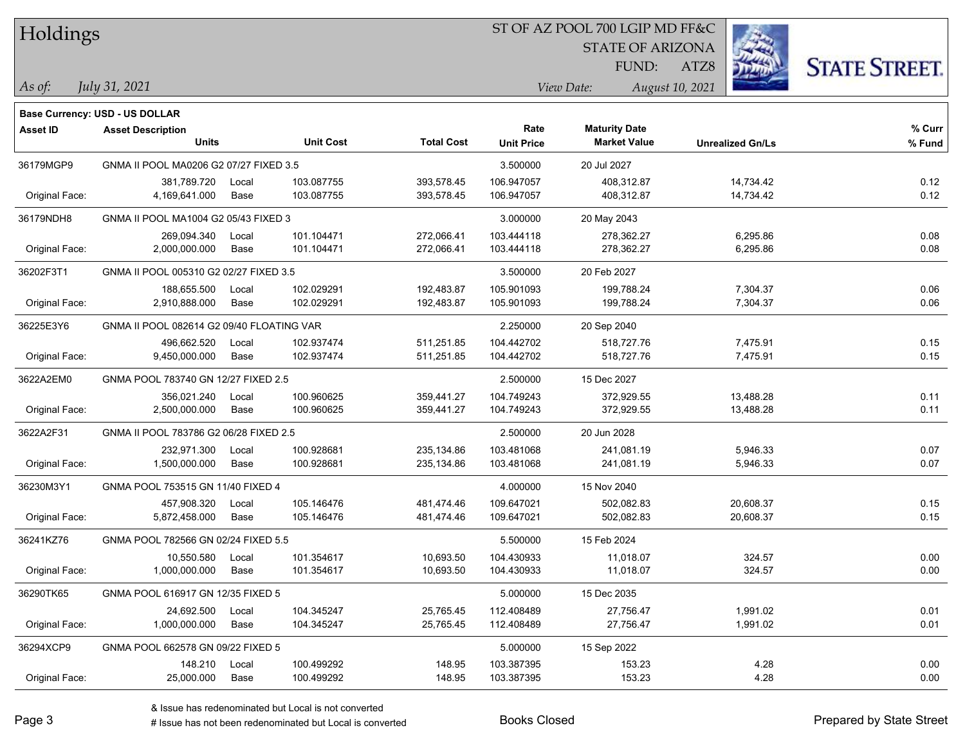| Holdings |
|----------|
|          |

STATE OF ARIZONA

FUND:

ATZ8



*As of: View Date: August 10, 2021*

| As of: | July 31, 2021 |
|--------|---------------|
|        |               |

|                | Base Currency: USD - US DOLLAR            |               |                          |                          |                           |                                             |                         |                  |
|----------------|-------------------------------------------|---------------|--------------------------|--------------------------|---------------------------|---------------------------------------------|-------------------------|------------------|
| Asset ID       | <b>Asset Description</b><br><b>Units</b>  |               | <b>Unit Cost</b>         | <b>Total Cost</b>        | Rate<br><b>Unit Price</b> | <b>Maturity Date</b><br><b>Market Value</b> | <b>Unrealized Gn/Ls</b> | % Curr<br>% Fund |
| 36179MGP9      | GNMA II POOL MA0206 G2 07/27 FIXED 3.5    |               |                          |                          | 3.500000                  | 20 Jul 2027                                 |                         |                  |
| Original Face: | 381,789.720<br>4,169,641.000              | Local<br>Base | 103.087755<br>103.087755 | 393,578.45<br>393,578.45 | 106.947057<br>106.947057  | 408,312.87<br>408,312.87                    | 14,734.42<br>14,734.42  | 0.12<br>0.12     |
| 36179NDH8      | GNMA II POOL MA1004 G2 05/43 FIXED 3      |               |                          |                          | 3.000000                  | 20 May 2043                                 |                         |                  |
| Original Face: | 269,094.340<br>2,000,000.000              | Local<br>Base | 101.104471<br>101.104471 | 272,066.41<br>272,066.41 | 103.444118<br>103.444118  | 278,362.27<br>278,362.27                    | 6,295.86<br>6,295.86    | 0.08<br>0.08     |
| 36202F3T1      | GNMA II POOL 005310 G2 02/27 FIXED 3.5    |               |                          |                          | 3.500000                  | 20 Feb 2027                                 |                         |                  |
| Original Face: | 188,655.500<br>2,910,888.000              | Local<br>Base | 102.029291<br>102.029291 | 192,483.87<br>192,483.87 | 105.901093<br>105.901093  | 199,788.24<br>199,788.24                    | 7,304.37<br>7,304.37    | 0.06<br>0.06     |
| 36225E3Y6      | GNMA II POOL 082614 G2 09/40 FLOATING VAR |               |                          |                          | 2.250000                  | 20 Sep 2040                                 |                         |                  |
| Original Face: | 496,662.520<br>9,450,000.000              | Local<br>Base | 102.937474<br>102.937474 | 511,251.85<br>511,251.85 | 104.442702<br>104.442702  | 518,727.76<br>518,727.76                    | 7,475.91<br>7,475.91    | 0.15<br>0.15     |
| 3622A2EM0      | GNMA POOL 783740 GN 12/27 FIXED 2.5       |               |                          |                          | 2.500000                  | 15 Dec 2027                                 |                         |                  |
| Original Face: | 356,021.240<br>2,500,000.000              | Local<br>Base | 100.960625<br>100.960625 | 359,441.27<br>359,441.27 | 104.749243<br>104.749243  | 372,929.55<br>372,929.55                    | 13,488.28<br>13,488.28  | 0.11<br>0.11     |
| 3622A2F31      | GNMA II POOL 783786 G2 06/28 FIXED 2.5    |               |                          |                          | 2.500000                  | 20 Jun 2028                                 |                         |                  |
| Original Face: | 232,971.300<br>1,500,000.000              | Local<br>Base | 100.928681<br>100.928681 | 235,134.86<br>235,134.86 | 103.481068<br>103.481068  | 241,081.19<br>241,081.19                    | 5,946.33<br>5,946.33    | 0.07<br>0.07     |
| 36230M3Y1      | GNMA POOL 753515 GN 11/40 FIXED 4         |               |                          |                          | 4.000000                  | 15 Nov 2040                                 |                         |                  |
| Original Face: | 457,908.320<br>5,872,458.000              | Local<br>Base | 105.146476<br>105.146476 | 481,474.46<br>481,474.46 | 109.647021<br>109.647021  | 502,082.83<br>502,082.83                    | 20,608.37<br>20,608.37  | 0.15<br>0.15     |
| 36241KZ76      | GNMA POOL 782566 GN 02/24 FIXED 5.5       |               |                          |                          | 5.500000                  | 15 Feb 2024                                 |                         |                  |
| Original Face: | 10,550.580<br>1,000,000.000               | Local<br>Base | 101.354617<br>101.354617 | 10,693.50<br>10,693.50   | 104.430933<br>104.430933  | 11,018.07<br>11,018.07                      | 324.57<br>324.57        | 0.00<br>0.00     |
| 36290TK65      | GNMA POOL 616917 GN 12/35 FIXED 5         |               |                          |                          | 5.000000                  | 15 Dec 2035                                 |                         |                  |
| Original Face: | 24,692.500<br>1,000,000.000               | Local<br>Base | 104.345247<br>104.345247 | 25,765.45<br>25,765.45   | 112.408489<br>112.408489  | 27,756.47<br>27,756.47                      | 1,991.02<br>1,991.02    | 0.01<br>0.01     |
| 36294XCP9      | GNMA POOL 662578 GN 09/22 FIXED 5         |               |                          |                          | 5.000000                  | 15 Sep 2022                                 |                         |                  |
| Original Face: | 148.210<br>25,000.000                     | Local<br>Base | 100.499292<br>100.499292 | 148.95<br>148.95         | 103.387395<br>103.387395  | 153.23<br>153.23                            | 4.28<br>4.28            | 0.00<br>0.00     |
|                |                                           |               |                          |                          |                           |                                             |                         |                  |

# Issue has not been redenominated but Local is converted Books Closed Prepared by State Street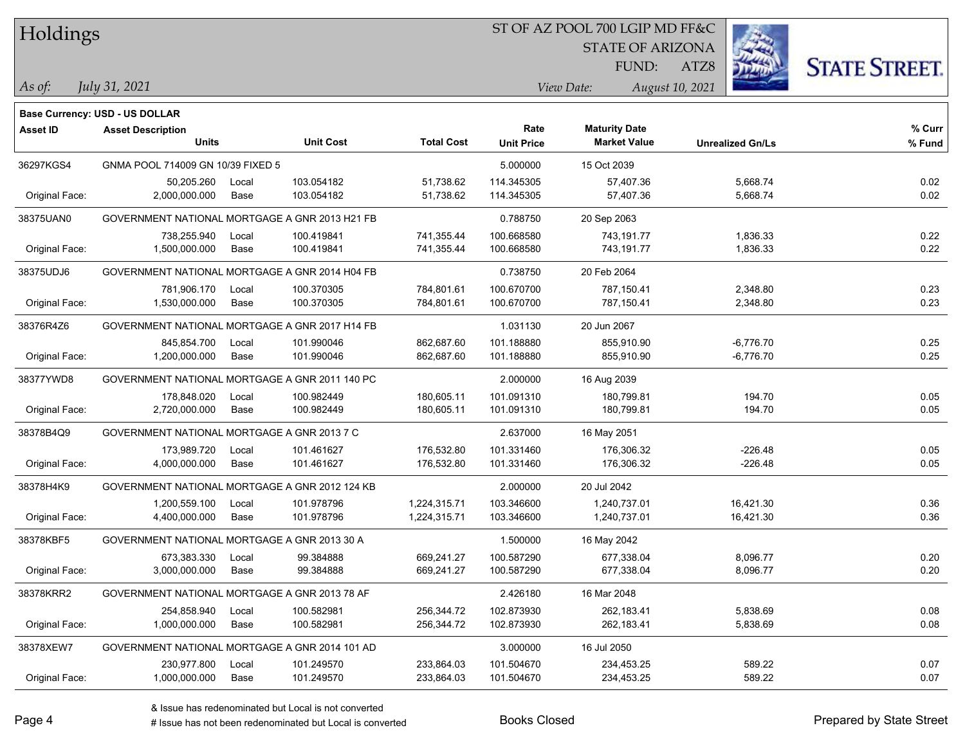| Holdings |
|----------|
|          |

STATE OF ARIZONA

ATZ8



*As of: View Date: August 10, 2021*

FUND:

*July 31, 2021*

|                 | <b>Base Currency: USD - US DOLLAR</b>          |               |                          |                              |                           |                                             |                            |                  |
|-----------------|------------------------------------------------|---------------|--------------------------|------------------------------|---------------------------|---------------------------------------------|----------------------------|------------------|
| <b>Asset ID</b> | <b>Asset Description</b><br><b>Units</b>       |               | <b>Unit Cost</b>         | <b>Total Cost</b>            | Rate<br><b>Unit Price</b> | <b>Maturity Date</b><br><b>Market Value</b> | <b>Unrealized Gn/Ls</b>    | % Curr<br>% Fund |
| 36297KGS4       | GNMA POOL 714009 GN 10/39 FIXED 5              |               |                          |                              | 5.000000                  | 15 Oct 2039                                 |                            |                  |
| Original Face:  | 50,205.260<br>2,000,000.000                    | Local<br>Base | 103.054182<br>103.054182 | 51,738.62<br>51,738.62       | 114.345305<br>114.345305  | 57,407.36<br>57,407.36                      | 5,668.74<br>5,668.74       | 0.02<br>0.02     |
| 38375UAN0       | GOVERNMENT NATIONAL MORTGAGE A GNR 2013 H21 FB |               |                          |                              | 0.788750                  | 20 Sep 2063                                 |                            |                  |
| Original Face:  | 738,255.940<br>1,500,000.000                   | Local<br>Base | 100.419841<br>100.419841 | 741,355.44<br>741,355.44     | 100.668580<br>100.668580  | 743,191.77<br>743,191.77                    | 1,836.33<br>1,836.33       | 0.22<br>0.22     |
| 38375UDJ6       | GOVERNMENT NATIONAL MORTGAGE A GNR 2014 H04 FB |               |                          |                              | 0.738750                  | 20 Feb 2064                                 |                            |                  |
| Original Face:  | 781,906.170<br>1,530,000.000                   | Local<br>Base | 100.370305<br>100.370305 | 784,801.61<br>784,801.61     | 100.670700<br>100.670700  | 787,150.41<br>787,150.41                    | 2,348.80<br>2,348.80       | 0.23<br>0.23     |
| 38376R4Z6       | GOVERNMENT NATIONAL MORTGAGE A GNR 2017 H14 FB |               |                          |                              | 1.031130                  | 20 Jun 2067                                 |                            |                  |
| Original Face:  | 845,854.700<br>1,200,000.000                   | Local<br>Base | 101.990046<br>101.990046 | 862,687.60<br>862,687.60     | 101.188880<br>101.188880  | 855,910.90<br>855,910.90                    | $-6,776.70$<br>$-6,776.70$ | 0.25<br>0.25     |
| 38377YWD8       | GOVERNMENT NATIONAL MORTGAGE A GNR 2011 140 PC |               |                          |                              | 2.000000                  | 16 Aug 2039                                 |                            |                  |
| Original Face:  | 178,848.020<br>2,720,000.000                   | Local<br>Base | 100.982449<br>100.982449 | 180,605.11<br>180,605.11     | 101.091310<br>101.091310  | 180,799.81<br>180,799.81                    | 194.70<br>194.70           | 0.05<br>0.05     |
| 38378B4Q9       | GOVERNMENT NATIONAL MORTGAGE A GNR 2013 7 C    |               |                          |                              | 2.637000                  | 16 May 2051                                 |                            |                  |
| Original Face:  | 173,989.720<br>4,000,000.000                   | Local<br>Base | 101.461627<br>101.461627 | 176,532.80<br>176,532.80     | 101.331460<br>101.331460  | 176,306.32<br>176,306.32                    | $-226.48$<br>$-226.48$     | 0.05<br>0.05     |
| 38378H4K9       | GOVERNMENT NATIONAL MORTGAGE A GNR 2012 124 KB |               |                          |                              | 2.000000                  | 20 Jul 2042                                 |                            |                  |
| Original Face:  | 1,200,559.100<br>4,400,000.000                 | Local<br>Base | 101.978796<br>101.978796 | 1,224,315.71<br>1,224,315.71 | 103.346600<br>103.346600  | 1,240,737.01<br>1,240,737.01                | 16,421.30<br>16,421.30     | 0.36<br>0.36     |
| 38378KBF5       | GOVERNMENT NATIONAL MORTGAGE A GNR 2013 30 A   |               |                          |                              | 1.500000                  | 16 May 2042                                 |                            |                  |
| Original Face:  | 673,383.330<br>3,000,000.000                   | Local<br>Base | 99.384888<br>99.384888   | 669,241.27<br>669,241.27     | 100.587290<br>100.587290  | 677,338.04<br>677,338.04                    | 8,096.77<br>8,096.77       | 0.20<br>0.20     |
| 38378KRR2       | GOVERNMENT NATIONAL MORTGAGE A GNR 2013 78 AF  |               |                          |                              | 2.426180                  | 16 Mar 2048                                 |                            |                  |
| Original Face:  | 254,858.940<br>1,000,000.000                   | Local<br>Base | 100.582981<br>100.582981 | 256,344.72<br>256,344.72     | 102.873930<br>102.873930  | 262,183.41<br>262,183.41                    | 5,838.69<br>5,838.69       | 0.08<br>0.08     |
| 38378XEW7       | GOVERNMENT NATIONAL MORTGAGE A GNR 2014 101 AD |               |                          |                              | 3.000000                  | 16 Jul 2050                                 |                            |                  |
| Original Face:  | 230,977.800<br>1,000,000.000                   | Local<br>Base | 101.249570<br>101.249570 | 233,864.03<br>233,864.03     | 101.504670<br>101.504670  | 234,453.25<br>234,453.25                    | 589.22<br>589.22           | 0.07<br>0.07     |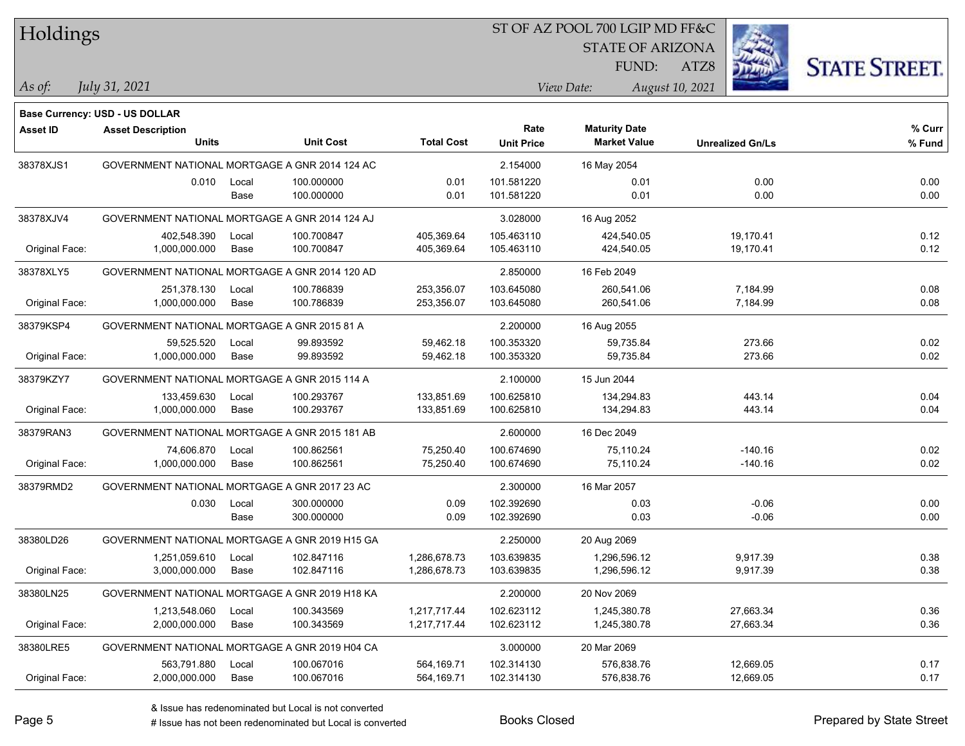### ST OF AZ POOL 700 LGIP MD FF&C

STATE OF ARIZONA

ATZ8



**% Fund**

**% Curr**

*July 31, 2021*

**Base Currency: USD - US DOLLAR**

*As of: View Date: August 10, 2021* FUND:

**Maturity Date**

| <b>Asset ID</b> | <b>Asset Description</b>                       |       |                  |                   | Rate              | <b>Maturity Date</b> |                         | % Cur |
|-----------------|------------------------------------------------|-------|------------------|-------------------|-------------------|----------------------|-------------------------|-------|
|                 | <b>Units</b>                                   |       | <b>Unit Cost</b> | <b>Total Cost</b> | <b>Unit Price</b> | <b>Market Value</b>  | <b>Unrealized Gn/Ls</b> | % Fun |
| 38378XJS1       | GOVERNMENT NATIONAL MORTGAGE A GNR 2014 124 AC |       |                  |                   | 2.154000          | 16 May 2054          |                         |       |
|                 | 0.010                                          | Local | 100.000000       | 0.01              | 101.581220        | 0.01                 | 0.00                    | 0.00  |
|                 |                                                | Base  | 100.000000       | 0.01              | 101.581220        | 0.01                 | 0.00                    | 0.00  |
| 38378XJV4       | GOVERNMENT NATIONAL MORTGAGE A GNR 2014 124 AJ |       |                  |                   | 3.028000          | 16 Aug 2052          |                         |       |
|                 | 402,548.390                                    | Local | 100.700847       | 405,369.64        | 105.463110        | 424,540.05           | 19.170.41               | 0.12  |
| Original Face:  | 1,000,000.000                                  | Base  | 100.700847       | 405.369.64        | 105.463110        | 424,540.05           | 19.170.41               | 0.12  |
| 38378XLY5       | GOVERNMENT NATIONAL MORTGAGE A GNR 2014 120 AD |       |                  |                   | 2.850000          | 16 Feb 2049          |                         |       |
|                 | 251.378.130                                    | Local | 100.786839       | 253,356.07        | 103.645080        | 260.541.06           | 7,184.99                | 0.08  |
| Original Face:  | 1.000.000.000                                  | Base  | 100.786839       | 253,356.07        | 103.645080        | 260.541.06           | 7,184.99                | 0.08  |
| 38379KSP4       | GOVERNMENT NATIONAL MORTGAGE A GNR 2015 81 A   |       |                  | 2.200000          | 16 Aug 2055       |                      |                         |       |
|                 | 59.525.520                                     | Local | 99.893592        | 59,462.18         | 100.353320        | 59,735.84            | 273.66                  | 0.02  |
| Original Face:  | 1,000,000.000                                  | Base  | 99.893592        | 59,462.18         | 100.353320        | 59,735.84            | 273.66                  | 0.02  |
| 38379KZY7       | GOVERNMENT NATIONAL MORTGAGE A GNR 2015 114 A  |       |                  |                   | 2.100000          | 15 Jun 2044          |                         |       |
|                 | 133.459.630                                    | Local | 100.293767       | 133.851.69        | 100.625810        | 134.294.83           | 443.14                  | 0.04  |
| Original Face:  | 1,000,000.000                                  | Base  | 100.293767       | 133,851.69        | 100.625810        | 134,294.83           | 443.14                  | 0.04  |
| 38379RAN3       | GOVERNMENT NATIONAL MORTGAGE A GNR 2015 181 AB |       |                  |                   | 2.600000          | 16 Dec 2049          |                         |       |
|                 | 74.606.870                                     | Local | 100.862561       | 75,250.40         | 100.674690        | 75.110.24            | $-140.16$               | 0.02  |
| Original Face:  | 1,000,000.000                                  | Base  | 100.862561       | 75,250.40         | 100.674690        | 75,110.24            | $-140.16$               | 0.02  |
| 38379RMD2       | GOVERNMENT NATIONAL MORTGAGE A GNR 2017 23 AC  |       |                  |                   | 2.300000          | 16 Mar 2057          |                         |       |
|                 |                                                |       |                  |                   |                   |                      |                         |       |

|                | 0.030                                          | Local | 300.000000 | 0.09         | 102.392690 | 0.03         | $-0.06$   | 0.00 |
|----------------|------------------------------------------------|-------|------------|--------------|------------|--------------|-----------|------|
|                |                                                | Base  | 300.000000 | 0.09         | 102.392690 | 0.03         | $-0.06$   | 0.00 |
| 38380LD26      | GOVERNMENT NATIONAL MORTGAGE A GNR 2019 H15 GA |       |            |              | 2.250000   | 20 Aug 2069  |           |      |
|                | 1.251.059.610                                  | Local | 102.847116 | 1.286.678.73 | 103.639835 | 1.296.596.12 | 9,917.39  | 0.38 |
| Original Face: | 3,000,000.000                                  | Base  | 102.847116 | 1,286,678.73 | 103.639835 | 1,296,596.12 | 9,917.39  | 0.38 |
| 38380LN25      | GOVERNMENT NATIONAL MORTGAGE A GNR 2019 H18 KA |       |            |              | 2.200000   | 20 Nov 2069  |           |      |
|                | 1.213.548.060                                  | Local | 100.343569 | 1.217.717.44 | 102.623112 | 1.245.380.78 | 27.663.34 | 0.36 |
| Original Face: | 2,000,000.000                                  | Base  | 100.343569 | 1,217,717.44 | 102.623112 | 1.245.380.78 | 27,663.34 | 0.36 |
| 38380LRE5      | GOVERNMENT NATIONAL MORTGAGE A GNR 2019 H04 CA |       |            |              | 3.000000   | 20 Mar 2069  |           |      |
|                | 563.791.880                                    | Local | 100.067016 | 564.169.71   | 102.314130 | 576.838.76   | 12.669.05 | 0.17 |
| Original Face: | 2,000,000.000                                  | Base  | 100.067016 | 564,169.71   | 102.314130 | 576.838.76   | 12,669.05 | 0.17 |
|                |                                                |       |            |              |            |              |           |      |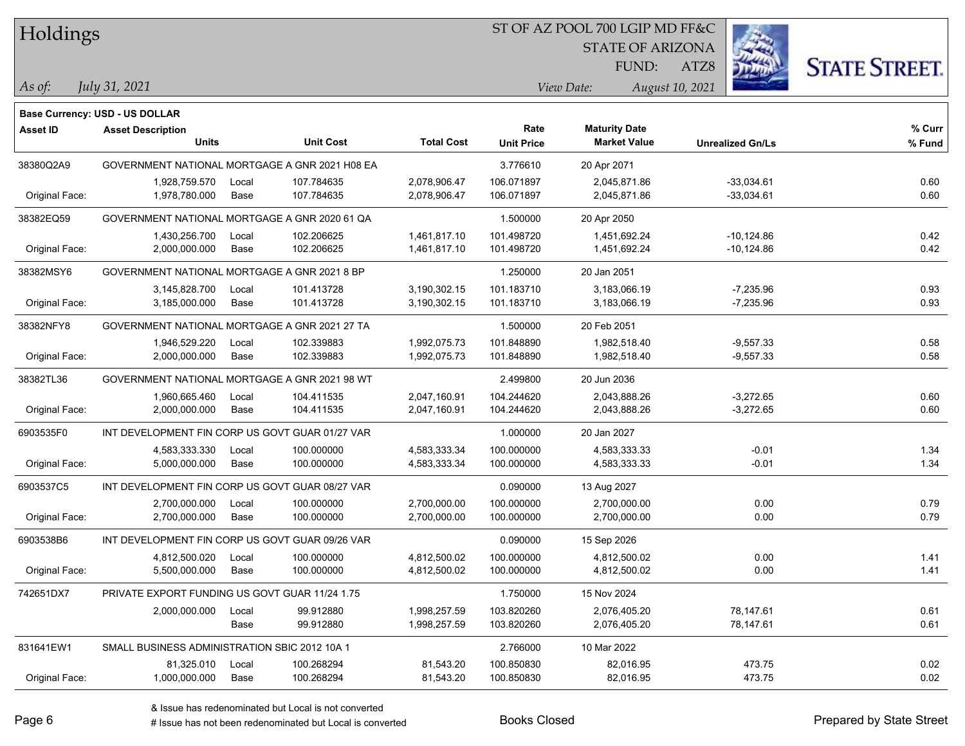#### ST OF AZ POOL 700 LGIP MD FF&C

STATE OF ARIZONA

ATZ8



*July 31, 2021*

**Base Currency: USD - US DOLLAR**

*As of: View Date: August 10, 2021* FUND:

| <b>Asset ID</b> | <b>Asset Description</b><br><b>Units</b>        |       | <b>Unit Cost</b> | <b>Total Cost</b> | Rate              | <b>Maturity Date</b><br><b>Market Value</b> |                         | % Curr |
|-----------------|-------------------------------------------------|-------|------------------|-------------------|-------------------|---------------------------------------------|-------------------------|--------|
|                 |                                                 |       |                  |                   | <b>Unit Price</b> |                                             | <b>Unrealized Gn/Ls</b> | % Fund |
| 38380Q2A9       | GOVERNMENT NATIONAL MORTGAGE A GNR 2021 H08 EA  |       |                  |                   | 3.776610          | 20 Apr 2071                                 |                         |        |
|                 | 1,928,759.570                                   | Local | 107.784635       | 2,078,906.47      | 106.071897        | 2,045,871.86                                | $-33,034.61$            | 0.60   |
| Original Face:  | 1,978,780.000                                   | Base  | 107.784635       | 2,078,906.47      | 106.071897        | 2,045,871.86                                | $-33,034.61$            | 0.60   |
| 38382EQ59       | GOVERNMENT NATIONAL MORTGAGE A GNR 2020 61 QA   |       |                  |                   | 1.500000          | 20 Apr 2050                                 |                         |        |
|                 | 1,430,256.700                                   | Local | 102.206625       | 1,461,817.10      | 101.498720        | 1,451,692.24                                | $-10,124.86$            | 0.42   |
| Original Face:  | 2,000,000.000                                   | Base  | 102.206625       | 1,461,817.10      | 101.498720        | 1,451,692.24                                | $-10,124.86$            | 0.42   |
| 38382MSY6       | GOVERNMENT NATIONAL MORTGAGE A GNR 2021 8 BP    |       |                  |                   | 1.250000          | 20 Jan 2051                                 |                         |        |
|                 | 3,145,828.700                                   | Local | 101.413728       | 3,190,302.15      | 101.183710        | 3,183,066.19                                | $-7,235.96$             | 0.93   |
| Original Face:  | 3,185,000.000                                   | Base  | 101.413728       | 3,190,302.15      | 101.183710        | 3,183,066.19                                | $-7,235.96$             | 0.93   |
| 38382NFY8       | GOVERNMENT NATIONAL MORTGAGE A GNR 2021 27 TA   |       |                  |                   | 1.500000          | 20 Feb 2051                                 |                         |        |
|                 | 1,946,529.220                                   | Local | 102.339883       | 1,992,075.73      | 101.848890        | 1,982,518.40                                | $-9,557.33$             | 0.58   |
| Original Face:  | 2,000,000.000                                   | Base  | 102.339883       | 1,992,075.73      | 101.848890        | 1,982,518.40                                | $-9,557.33$             | 0.58   |
| 38382TL36       | GOVERNMENT NATIONAL MORTGAGE A GNR 2021 98 WT   |       |                  |                   | 2.499800          | 20 Jun 2036                                 |                         |        |
|                 | 1,960,665.460                                   | Local | 104.411535       | 2,047,160.91      | 104.244620        | 2,043,888.26                                | $-3,272.65$             | 0.60   |
| Original Face:  | 2,000,000.000                                   | Base  | 104.411535       | 2,047,160.91      | 104.244620        | 2,043,888.26                                | $-3,272.65$             | 0.60   |
| 6903535F0       | INT DEVELOPMENT FIN CORP US GOVT GUAR 01/27 VAR |       |                  |                   | 1.000000          | 20 Jan 2027                                 |                         |        |
|                 | 4,583,333.330                                   | Local | 100.000000       | 4,583,333.34      | 100.000000        | 4,583,333.33                                | $-0.01$                 | 1.34   |
| Original Face:  | 5,000,000.000                                   | Base  | 100.000000       | 4,583,333.34      | 100.000000        | 4,583,333.33                                | $-0.01$                 | 1.34   |
| 6903537C5       | INT DEVELOPMENT FIN CORP US GOVT GUAR 08/27 VAR |       |                  |                   | 0.090000          | 13 Aug 2027                                 |                         |        |
|                 | 2,700,000.000                                   | Local | 100.000000       | 2,700,000.00      | 100.000000        | 2,700,000.00                                | 0.00                    | 0.79   |
| Original Face:  | 2,700,000.000                                   | Base  | 100.000000       | 2,700,000.00      | 100.000000        | 2,700,000.00                                | 0.00                    | 0.79   |
| 6903538B6       | INT DEVELOPMENT FIN CORP US GOVT GUAR 09/26 VAR |       |                  |                   | 0.090000          | 15 Sep 2026                                 |                         |        |
|                 | 4,812,500.020                                   | Local | 100.000000       | 4,812,500.02      | 100.000000        | 4,812,500.02                                | 0.00                    | 1.41   |
| Original Face:  | 5,500,000.000                                   | Base  | 100.000000       | 4,812,500.02      | 100.000000        | 4,812,500.02                                | 0.00                    | 1.41   |
| 742651DX7       | PRIVATE EXPORT FUNDING US GOVT GUAR 11/24 1.75  |       |                  |                   | 1.750000          | 15 Nov 2024                                 |                         |        |
|                 | 2,000,000.000                                   | Local | 99.912880        | 1,998,257.59      | 103.820260        | 2,076,405.20                                | 78,147.61               | 0.61   |
|                 |                                                 | Base  | 99.912880        | 1,998,257.59      | 103.820260        | 2,076,405.20                                | 78,147.61               | 0.61   |
| 831641EW1       | SMALL BUSINESS ADMINISTRATION SBIC 2012 10A 1   |       |                  |                   | 2.766000          | 10 Mar 2022                                 |                         |        |

Original Face: 1,000,000.000 Base 100.268294 81,543.20 100.850830 82,016.95 473.75 0.02

# Issue has not been redenominated but Local is converted Books Closed Prepared by State Street

81,325.010 Local 100.268294 81,543.20 100.850830 82,016.95 473.75 0.02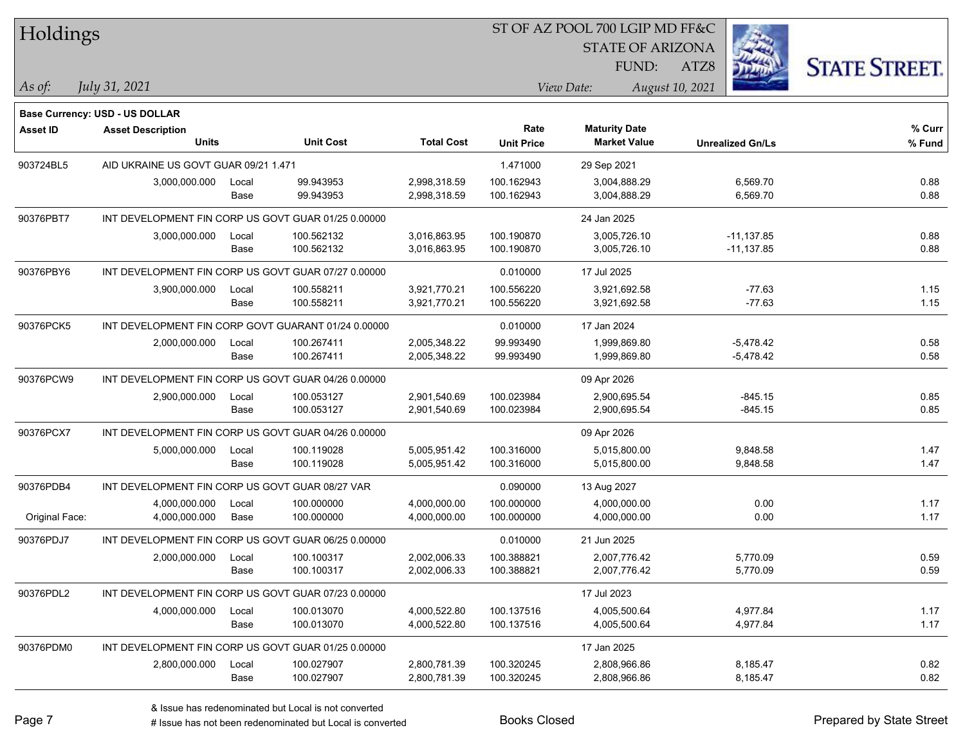| Holdings       |                                                     |       |                  |                   |                   | ST OF AZ POOL 700 LGIP MD FF&C |                         |                      |  |
|----------------|-----------------------------------------------------|-------|------------------|-------------------|-------------------|--------------------------------|-------------------------|----------------------|--|
|                |                                                     |       |                  |                   |                   | <b>STATE OF ARIZONA</b>        |                         |                      |  |
|                |                                                     |       |                  |                   |                   | FUND:                          | ATZ8                    | <b>STATE STREET.</b> |  |
| $ $ As of:     | July 31, 2021                                       |       |                  |                   |                   | View Date:                     | August 10, 2021         |                      |  |
|                |                                                     |       |                  |                   |                   |                                |                         |                      |  |
|                | Base Currency: USD - US DOLLAR                      |       |                  |                   |                   |                                |                         |                      |  |
| Asset ID       | <b>Asset Description</b>                            |       |                  |                   | Rate              | <b>Maturity Date</b>           |                         | % Curr               |  |
|                | <b>Units</b>                                        |       | <b>Unit Cost</b> | <b>Total Cost</b> | <b>Unit Price</b> | <b>Market Value</b>            | <b>Unrealized Gn/Ls</b> | % Fund               |  |
| 903724BL5      | AID UKRAINE US GOVT GUAR 09/21 1.471                |       |                  |                   | 1.471000          | 29 Sep 2021                    |                         |                      |  |
|                | 3,000,000.000                                       | Local | 99.943953        | 2,998,318.59      | 100.162943        | 3,004,888.29                   | 6,569.70                | 0.88                 |  |
|                |                                                     | Base  | 99.943953        | 2,998,318.59      | 100.162943        | 3,004,888.29                   | 6,569.70                | 0.88                 |  |
| 90376PBT7      | INT DEVELOPMENT FIN CORP US GOVT GUAR 01/25 0.00000 |       |                  |                   |                   | 24 Jan 2025                    |                         |                      |  |
|                | 3,000,000.000                                       | Local | 100.562132       | 3,016,863.95      | 100.190870        | 3,005,726.10                   | $-11,137.85$            | 0.88                 |  |
|                |                                                     | Base  | 100.562132       | 3,016,863.95      | 100.190870        | 3,005,726.10                   | $-11,137.85$            | 0.88                 |  |
| 90376PBY6      | INT DEVELOPMENT FIN CORP US GOVT GUAR 07/27 0.00000 |       |                  |                   | 0.010000          | 17 Jul 2025                    |                         |                      |  |
|                | 3,900,000.000                                       | Local | 100.558211       | 3,921,770.21      | 100.556220        | 3,921,692.58                   | $-77.63$                | 1.15                 |  |
|                |                                                     | Base  | 100.558211       | 3,921,770.21      | 100.556220        | 3,921,692.58                   | $-77.63$                | 1.15                 |  |
| 90376PCK5      | INT DEVELOPMENT FIN CORP GOVT GUARANT 01/24 0.00000 |       |                  |                   | 0.010000          | 17 Jan 2024                    |                         |                      |  |
|                | 2,000,000.000                                       | Local | 100.267411       | 2,005,348.22      | 99.993490         | 1,999,869.80                   | $-5,478.42$             | 0.58                 |  |
|                |                                                     | Base  | 100.267411       | 2,005,348.22      | 99.993490         | 1,999,869.80                   | $-5,478.42$             | 0.58                 |  |
| 90376PCW9      | INT DEVELOPMENT FIN CORP US GOVT GUAR 04/26 0.00000 |       |                  |                   |                   | 09 Apr 2026                    |                         |                      |  |
|                | 2,900,000.000                                       | Local | 100.053127       | 2,901,540.69      | 100.023984        | 2,900,695.54                   | $-845.15$               | 0.85                 |  |
|                |                                                     | Base  | 100.053127       | 2,901,540.69      | 100.023984        | 2,900,695.54                   | $-845.15$               | 0.85                 |  |
| 90376PCX7      | INT DEVELOPMENT FIN CORP US GOVT GUAR 04/26 0.00000 |       |                  |                   |                   | 09 Apr 2026                    |                         |                      |  |
|                | 5,000,000.000                                       | Local | 100.119028       | 5,005,951.42      | 100.316000        | 5,015,800.00                   | 9,848.58                | 1.47                 |  |
|                |                                                     | Base  | 100.119028       | 5,005,951.42      | 100.316000        | 5,015,800.00                   | 9,848.58                | 1.47                 |  |
| 90376PDB4      | INT DEVELOPMENT FIN CORP US GOVT GUAR 08/27 VAR     |       |                  |                   | 0.090000          | 13 Aug 2027                    |                         |                      |  |
|                | 4,000,000.000                                       | Local | 100.000000       | 4,000,000.00      | 100.000000        | 4,000,000.00                   | 0.00                    | 1.17                 |  |
| Original Face: | 4,000,000.000                                       | Base  | 100.000000       | 4,000,000.00      | 100.000000        | 4,000,000.00                   | 0.00                    | 1.17                 |  |
| 90376PDJ7      | INT DEVELOPMENT FIN CORP US GOVT GUAR 06/25 0.00000 |       |                  |                   | 0.010000          | 21 Jun 2025                    |                         |                      |  |
|                | 2,000,000.000                                       | Local | 100.100317       | 2,002,006.33      | 100.388821        | 2,007,776.42                   | 5,770.09                | 0.59                 |  |
|                |                                                     | Base  | 100.100317       | 2,002,006.33      | 100.388821        | 2,007,776.42                   | 5,770.09                | 0.59                 |  |
| 90376PDL2      | INT DEVELOPMENT FIN CORP US GOVT GUAR 07/23 0.00000 |       |                  |                   |                   | 17 Jul 2023                    |                         |                      |  |
|                | 4,000,000.000                                       | Local | 100.013070       | 4,000,522.80      | 100.137516        | 4,005,500.64                   | 4,977.84                | 1.17                 |  |
|                |                                                     | Base  | 100.013070       | 4,000,522.80      | 100.137516        | 4,005,500.64                   | 4,977.84                | 1.17                 |  |
| 90376PDM0      | INT DEVELOPMENT FIN CORP US GOVT GUAR 01/25 0.00000 |       |                  |                   |                   | 17 Jan 2025                    |                         |                      |  |
|                | 2,800,000.000                                       | Local | 100.027907       | 2,800,781.39      | 100.320245        | 2,808,966.86                   | 8,185.47                | 0.82                 |  |
|                |                                                     | Base  | 100.027907       | 2,800,781.39      | 100.320245        | 2,808,966.86                   | 8,185.47                | 0.82                 |  |
|                |                                                     |       |                  |                   |                   |                                |                         |                      |  |

٦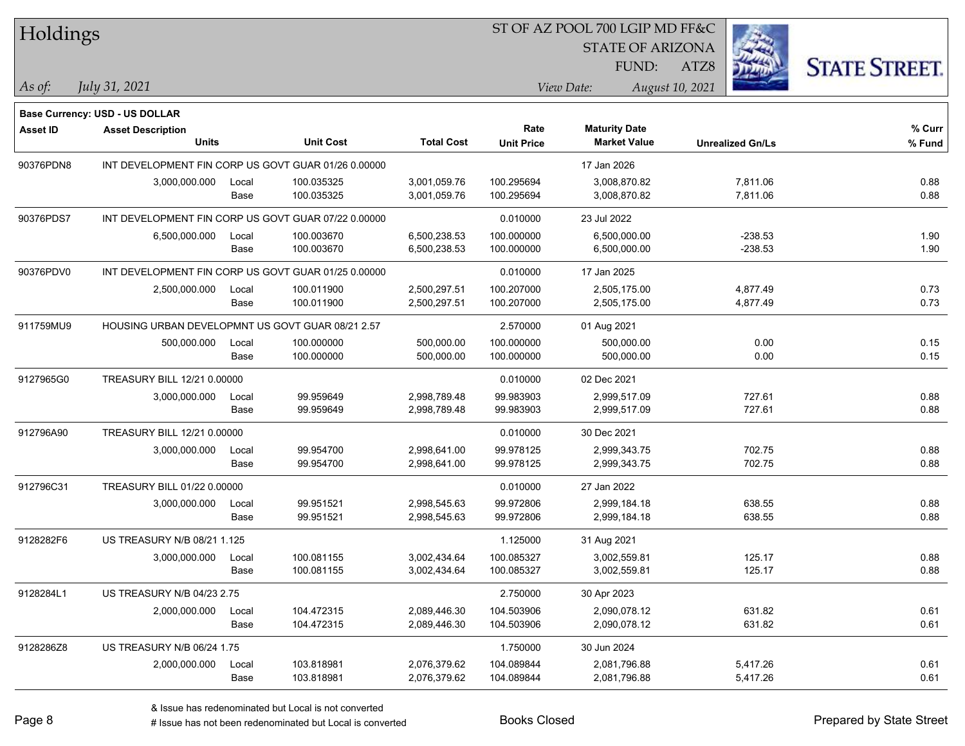|  | Holdings |
|--|----------|
|  |          |

STATE OF ARIZONA

FUND:

ATZ8



*As of: View Date: August 10, 2021*

*July 31, 2021*

|                 | Base Currency: USD - US DOLLAR                      |       |                  |                   |                   |                      |                         |        |
|-----------------|-----------------------------------------------------|-------|------------------|-------------------|-------------------|----------------------|-------------------------|--------|
| <b>Asset ID</b> | <b>Asset Description</b>                            |       |                  |                   | Rate              | <b>Maturity Date</b> |                         | % Curr |
|                 | <b>Units</b>                                        |       | <b>Unit Cost</b> | <b>Total Cost</b> | <b>Unit Price</b> | <b>Market Value</b>  | <b>Unrealized Gn/Ls</b> | % Fund |
| 90376PDN8       | INT DEVELOPMENT FIN CORP US GOVT GUAR 01/26 0.00000 |       |                  |                   |                   | 17 Jan 2026          |                         |        |
|                 | 3,000,000.000                                       | Local | 100.035325       | 3,001,059.76      | 100.295694        | 3,008,870.82         | 7,811.06                | 0.88   |
|                 |                                                     | Base  | 100.035325       | 3,001,059.76      | 100.295694        | 3,008,870.82         | 7,811.06                | 0.88   |
| 90376PDS7       | INT DEVELOPMENT FIN CORP US GOVT GUAR 07/22 0.00000 |       |                  |                   | 0.010000          | 23 Jul 2022          |                         |        |
|                 | 6,500,000.000                                       | Local | 100.003670       | 6,500,238.53      | 100.000000        | 6,500,000.00         | $-238.53$               | 1.90   |
|                 |                                                     | Base  | 100.003670       | 6,500,238.53      | 100.000000        | 6,500,000.00         | $-238.53$               | 1.90   |
| 90376PDV0       | INT DEVELOPMENT FIN CORP US GOVT GUAR 01/25 0.00000 |       |                  |                   | 0.010000          | 17 Jan 2025          |                         |        |
|                 | 2,500,000.000                                       | Local | 100.011900       | 2,500,297.51      | 100.207000        | 2,505,175.00         | 4,877.49                | 0.73   |
|                 |                                                     | Base  | 100.011900       | 2,500,297.51      | 100.207000        | 2,505,175.00         | 4,877.49                | 0.73   |
| 911759MU9       | HOUSING URBAN DEVELOPMNT US GOVT GUAR 08/21 2.57    |       |                  |                   | 2.570000          | 01 Aug 2021          |                         |        |
|                 | 500,000.000                                         | Local | 100.000000       | 500,000.00        | 100.000000        | 500,000.00           | 0.00                    | 0.15   |
|                 |                                                     | Base  | 100.000000       | 500,000.00        | 100.000000        | 500,000.00           | 0.00                    | 0.15   |
| 9127965G0       | TREASURY BILL 12/21 0.00000                         |       |                  |                   | 0.010000          | 02 Dec 2021          |                         |        |
|                 | 3,000,000.000                                       | Local | 99.959649        | 2,998,789.48      | 99.983903         | 2,999,517.09         | 727.61                  | 0.88   |
|                 |                                                     | Base  | 99.959649        | 2,998,789.48      | 99.983903         | 2,999,517.09         | 727.61                  | 0.88   |
| 912796A90       | TREASURY BILL 12/21 0.00000                         |       |                  |                   | 0.010000          | 30 Dec 2021          |                         |        |
|                 | 3,000,000.000                                       | Local | 99.954700        | 2,998,641.00      | 99.978125         | 2,999,343.75         | 702.75                  | 0.88   |
|                 |                                                     | Base  | 99.954700        | 2,998,641.00      | 99.978125         | 2,999,343.75         | 702.75                  | 0.88   |
| 912796C31       | TREASURY BILL 01/22 0.00000                         |       |                  |                   | 0.010000          | 27 Jan 2022          |                         |        |
|                 | 3,000,000.000                                       | Local | 99.951521        | 2,998,545.63      | 99.972806         | 2,999,184.18         | 638.55                  | 0.88   |
|                 |                                                     | Base  | 99.951521        | 2,998,545.63      | 99.972806         | 2,999,184.18         | 638.55                  | 0.88   |
| 9128282F6       | US TREASURY N/B 08/21 1.125                         |       |                  |                   | 1.125000          | 31 Aug 2021          |                         |        |
|                 | 3,000,000.000                                       | Local | 100.081155       | 3,002,434.64      | 100.085327        | 3,002,559.81         | 125.17                  | 0.88   |
|                 |                                                     | Base  | 100.081155       | 3,002,434.64      | 100.085327        | 3,002,559.81         | 125.17                  | 0.88   |
| 9128284L1       | <b>US TREASURY N/B 04/23 2.75</b>                   |       |                  |                   | 2.750000          | 30 Apr 2023          |                         |        |
|                 | 2,000,000.000                                       | Local | 104.472315       | 2,089,446.30      | 104.503906        | 2,090,078.12         | 631.82                  | 0.61   |
|                 |                                                     | Base  | 104.472315       | 2,089,446.30      | 104.503906        | 2,090,078.12         | 631.82                  | 0.61   |
| 9128286Z8       | <b>US TREASURY N/B 06/24 1.75</b>                   |       |                  |                   | 1.750000          | 30 Jun 2024          |                         |        |
|                 | 2,000,000.000                                       | Local | 103.818981       | 2,076,379.62      | 104.089844        | 2,081,796.88         | 5,417.26                | 0.61   |
|                 |                                                     | Base  | 103.818981       | 2,076,379.62      | 104.089844        | 2,081,796.88         | 5,417.26                | 0.61   |

# Issue has not been redenominated but Local is converted Books Closed Prepared by State Street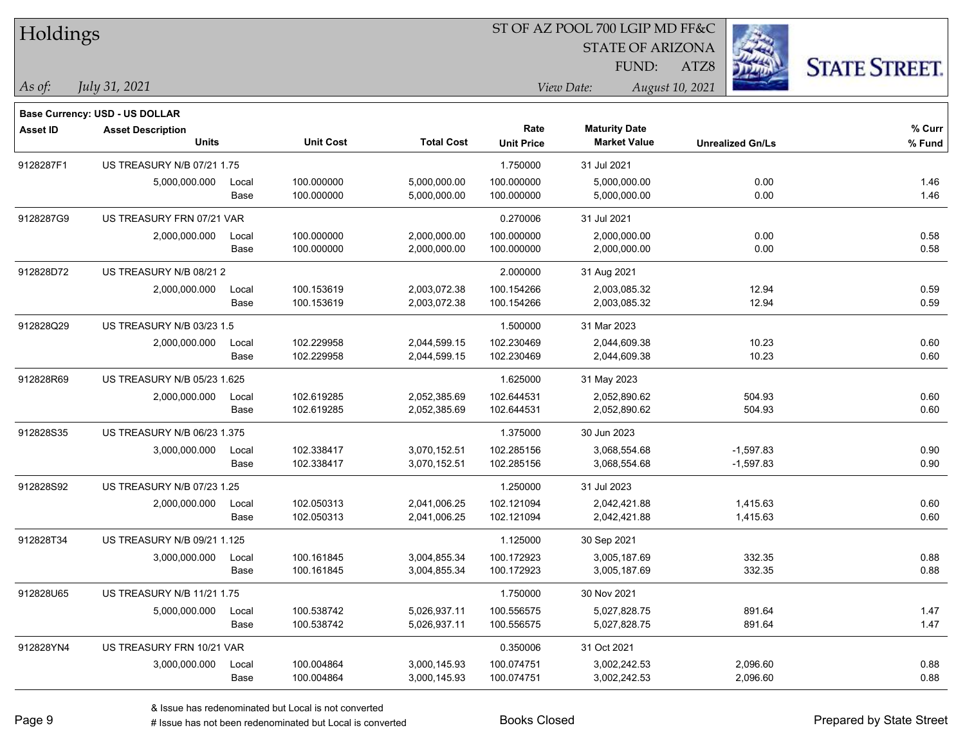| Holdings        |                                       |       |                  | ST OF AZ POOL 700 LGIP MD FF&C |                   |                               |                         |                      |  |  |
|-----------------|---------------------------------------|-------|------------------|--------------------------------|-------------------|-------------------------------|-------------------------|----------------------|--|--|
|                 |                                       |       |                  |                                |                   | <b>STATE OF ARIZONA</b>       |                         |                      |  |  |
|                 |                                       |       |                  |                                |                   | FUND:                         | ATZ8                    | <b>STATE STREET.</b> |  |  |
| As of:          | <i>July 31, 2021</i>                  |       |                  |                                |                   | View Date:<br>August 10, 2021 |                         |                      |  |  |
|                 | <b>Base Currency: USD - US DOLLAR</b> |       |                  |                                |                   |                               |                         |                      |  |  |
| <b>Asset ID</b> | <b>Asset Description</b>              |       |                  |                                | Rate              | <b>Maturity Date</b>          |                         | $%$ Curr             |  |  |
|                 | <b>Units</b>                          |       | <b>Unit Cost</b> | <b>Total Cost</b>              | <b>Unit Price</b> | <b>Market Value</b>           | <b>Unrealized Gn/Ls</b> | % Fund               |  |  |
| 9128287F1       | US TREASURY N/B 07/21 1.75            |       |                  |                                | 1.750000          | 31 Jul 2021                   |                         |                      |  |  |
|                 | 5,000,000.000                         | Local | 100.000000       | 5,000,000.00                   | 100.000000        | 5,000,000.00                  | 0.00                    | 1.46                 |  |  |
|                 |                                       | Base  | 100.000000       | 5,000,000.00                   | 100.000000        | 5,000,000.00                  | 0.00                    | 1.46                 |  |  |
| 9128287G9       | US TREASURY FRN 07/21 VAR             |       |                  |                                | 0.270006          | 31 Jul 2021                   |                         |                      |  |  |
|                 | 2,000,000.000                         | Local | 100.000000       | 2,000,000.00                   | 100.000000        | 2,000,000.00                  | 0.00                    | 0.58                 |  |  |
|                 |                                       | Base  | 100.000000       | 2,000,000.00                   | 100.000000        | 2,000,000.00                  | 0.00                    | 0.58                 |  |  |
| 912828D72       | US TREASURY N/B 08/21 2               |       |                  |                                | 2.000000          | 31 Aug 2021                   |                         |                      |  |  |
|                 | 2,000,000.000                         | Local | 100.153619       | 2,003,072.38                   | 100.154266        | 2,003,085.32                  | 12.94                   | 0.59                 |  |  |
|                 |                                       | Base  | 100.153619       | 2,003,072.38                   | 100.154266        | 2,003,085.32                  | 12.94                   | 0.59                 |  |  |
| 912828Q29       | US TREASURY N/B 03/23 1.5             |       |                  |                                | 1.500000          | 31 Mar 2023                   |                         |                      |  |  |
|                 | 2,000,000.000                         | Local | 102.229958       | 2,044,599.15                   | 102.230469        | 2,044,609.38                  | 10.23                   | 0.60                 |  |  |
|                 |                                       | Base  | 102.229958       | 2,044,599.15                   | 102.230469        | 2,044,609.38                  | 10.23                   | 0.60                 |  |  |
| 912828R69       | US TREASURY N/B 05/23 1.625           |       |                  |                                | 1.625000          | 31 May 2023                   |                         |                      |  |  |
|                 | 2,000,000.000                         | Local | 102.619285       | 2,052,385.69                   | 102.644531        | 2,052,890.62                  | 504.93                  | 0.60                 |  |  |
|                 |                                       | Base  | 102.619285       | 2,052,385.69                   | 102.644531        | 2,052,890.62                  | 504.93                  | 0.60                 |  |  |
| 912828S35       | US TREASURY N/B 06/23 1.375           |       |                  |                                | 1.375000          | 30 Jun 2023                   |                         |                      |  |  |
|                 | 3,000,000.000                         | Local | 102.338417       | 3,070,152.51                   | 102.285156        | 3,068,554.68                  | $-1,597.83$             | 0.90                 |  |  |
|                 |                                       | Base  | 102.338417       | 3,070,152.51                   | 102.285156        | 3,068,554.68                  | $-1,597.83$             | 0.90                 |  |  |
| 912828S92       | US TREASURY N/B 07/23 1.25            |       |                  |                                | 1.250000          | 31 Jul 2023                   |                         |                      |  |  |
|                 | 2,000,000.000                         | Local | 102.050313       | 2,041,006.25                   | 102.121094        | 2,042,421.88                  | 1,415.63                | 0.60                 |  |  |
|                 |                                       | Base  | 102.050313       | 2,041,006.25                   | 102.121094        | 2,042,421.88                  | 1,415.63                | 0.60                 |  |  |
| 912828T34       | US TREASURY N/B 09/21 1.125           |       |                  |                                | 1.125000          | 30 Sep 2021                   |                         |                      |  |  |
|                 | 3,000,000.000                         | Local | 100.161845       | 3,004,855.34                   | 100.172923        | 3,005,187.69                  | 332.35                  | 0.88                 |  |  |
|                 |                                       | Base  | 100.161845       | 3,004,855.34                   | 100.172923        | 3,005,187.69                  | 332.35                  | 0.88                 |  |  |
| 912828U65       | US TREASURY N/B 11/21 1.75            |       |                  |                                | 1.750000          | 30 Nov 2021                   |                         |                      |  |  |
|                 | 5,000,000.000                         | Local | 100.538742       | 5,026,937.11                   | 100.556575        | 5,027,828.75                  | 891.64                  | 1.47                 |  |  |
|                 |                                       | Base  | 100.538742       | 5,026,937.11                   | 100.556575        | 5,027,828.75                  | 891.64                  | 1.47                 |  |  |
| 912828YN4       | US TREASURY FRN 10/21 VAR             |       |                  |                                | 0.350006          | 31 Oct 2021                   |                         |                      |  |  |
|                 | 3,000,000.000                         | Local | 100.004864       | 3,000,145.93                   | 100.074751        | 3,002,242.53                  | 2,096.60                | 0.88                 |  |  |
|                 |                                       | Base  | 100.004864       | 3,000,145.93                   | 100.074751        | 3,002,242.53                  | 2,096.60                | 0.88                 |  |  |

-

 $\overline{\phantom{0}}$ 

÷.

# Issue has not been redenominated but Local is converted Books Closed Prepared by State Street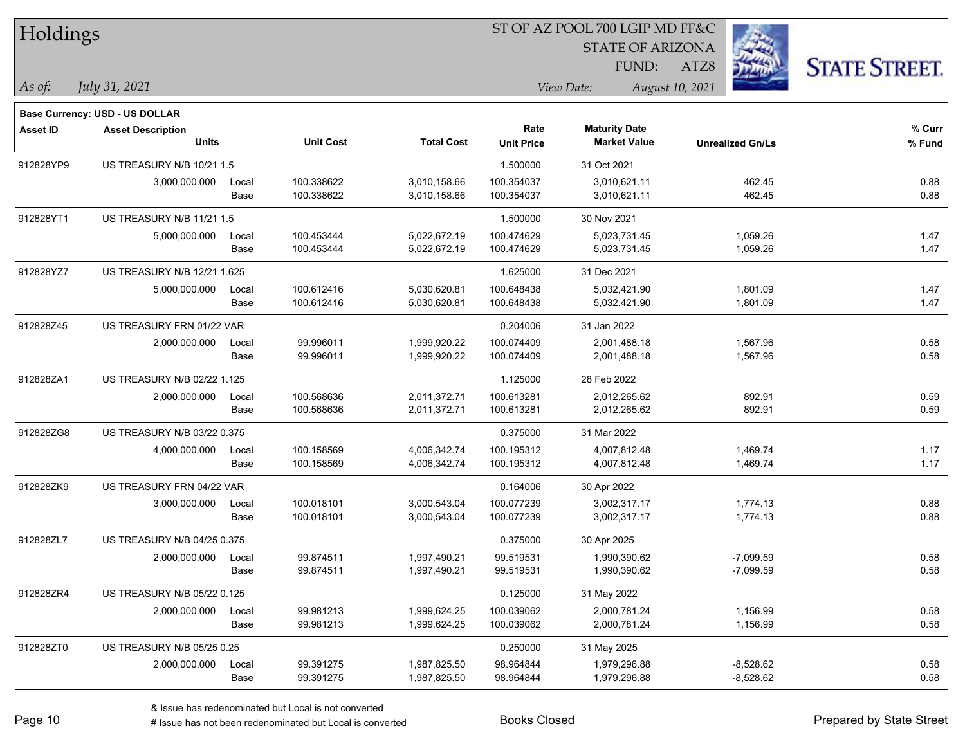| Holdings        |                                          |       |                  |                   |                   | ST OF AZ POOL 700 LGIP MD FF&C |                         |                      |
|-----------------|------------------------------------------|-------|------------------|-------------------|-------------------|--------------------------------|-------------------------|----------------------|
|                 |                                          |       |                  |                   |                   | <b>STATE OF ARIZONA</b>        |                         |                      |
|                 |                                          |       |                  |                   |                   | FUND:                          | ATZ8                    | <b>STATE STREET.</b> |
| $\vert$ As of:  | July 31, 2021                            |       |                  |                   |                   | View Date:                     | August 10, 2021         |                      |
|                 |                                          |       |                  |                   |                   |                                |                         |                      |
|                 | Base Currency: USD - US DOLLAR           |       |                  |                   | Rate              | <b>Maturity Date</b>           |                         | % Curr               |
| <b>Asset ID</b> | <b>Asset Description</b><br><b>Units</b> |       | <b>Unit Cost</b> | <b>Total Cost</b> | <b>Unit Price</b> | <b>Market Value</b>            | <b>Unrealized Gn/Ls</b> | % Fund               |
| 912828YP9       | US TREASURY N/B 10/21 1.5                |       |                  |                   | 1.500000          | 31 Oct 2021                    |                         |                      |
|                 | 3,000,000.000                            | Local | 100.338622       | 3,010,158.66      | 100.354037        | 3,010,621.11                   | 462.45                  | 0.88                 |
|                 |                                          | Base  | 100.338622       | 3,010,158.66      | 100.354037        | 3,010,621.11                   | 462.45                  | 0.88                 |
| 912828YT1       | US TREASURY N/B 11/21 1.5                |       |                  |                   | 1.500000          | 30 Nov 2021                    |                         |                      |
|                 | 5,000,000.000                            | Local | 100.453444       | 5,022,672.19      | 100.474629        | 5,023,731.45                   | 1,059.26                | 1.47                 |
|                 |                                          | Base  | 100.453444       | 5,022,672.19      | 100.474629        | 5,023,731.45                   | 1,059.26                | 1.47                 |
| 912828YZ7       | <b>US TREASURY N/B 12/21 1.625</b>       |       |                  |                   | 1.625000          | 31 Dec 2021                    |                         |                      |
|                 | 5,000,000.000                            | Local | 100.612416       | 5,030,620.81      | 100.648438        | 5,032,421.90                   | 1,801.09                | 1.47                 |
|                 |                                          | Base  | 100.612416       | 5,030,620.81      | 100.648438        | 5,032,421.90                   | 1,801.09                | 1.47                 |
| 912828Z45       | US TREASURY FRN 01/22 VAR                |       |                  |                   | 0.204006          | 31 Jan 2022                    |                         |                      |
|                 | 2,000,000.000                            | Local | 99.996011        | 1,999,920.22      | 100.074409        | 2,001,488.18                   | 1,567.96                | 0.58                 |
|                 |                                          | Base  | 99.996011        | 1,999,920.22      | 100.074409        | 2,001,488.18                   | 1,567.96                | 0.58                 |
| 912828ZA1       | US TREASURY N/B 02/22 1.125              |       |                  |                   | 1.125000          | 28 Feb 2022                    |                         |                      |
|                 | 2,000,000.000                            | Local | 100.568636       | 2,011,372.71      | 100.613281        | 2,012,265.62                   | 892.91                  | 0.59                 |
|                 |                                          | Base  | 100.568636       | 2,011,372.71      | 100.613281        | 2,012,265.62                   | 892.91                  | 0.59                 |
| 912828ZG8       | US TREASURY N/B 03/22 0.375              |       |                  |                   | 0.375000          | 31 Mar 2022                    |                         |                      |
|                 | 4,000,000.000                            | Local | 100.158569       | 4,006,342.74      | 100.195312        | 4,007,812.48                   | 1,469.74                | 1.17                 |
|                 |                                          | Base  | 100.158569       | 4,006,342.74      | 100.195312        | 4,007,812.48                   | 1,469.74                | 1.17                 |
| 912828ZK9       | US TREASURY FRN 04/22 VAR                |       |                  |                   | 0.164006          | 30 Apr 2022                    |                         |                      |
|                 | 3,000,000.000                            | Local | 100.018101       | 3,000,543.04      | 100.077239        | 3,002,317.17                   | 1,774.13                | 0.88                 |
|                 |                                          | Base  | 100.018101       | 3,000,543.04      | 100.077239        | 3,002,317.17                   | 1,774.13                | 0.88                 |
| 912828ZL7       | US TREASURY N/B 04/25 0.375              |       |                  |                   | 0.375000          | 30 Apr 2025                    |                         |                      |
|                 | 2,000,000.000                            | Local | 99.874511        | 1,997,490.21      | 99.519531         | 1,990,390.62                   | $-7,099.59$             | 0.58                 |
|                 |                                          | Base  | 99.874511        | 1,997,490.21      | 99.519531         | 1,990,390.62                   | $-7,099.59$             | 0.58                 |
| 912828ZR4       | US TREASURY N/B 05/22 0.125              |       |                  |                   | 0.125000          | 31 May 2022                    |                         |                      |
|                 | 2,000,000.000                            | Local | 99.981213        | 1,999,624.25      | 100.039062        | 2,000,781.24                   | 1,156.99                | 0.58                 |
|                 |                                          | Base  | 99.981213        | 1,999,624.25      | 100.039062        | 2,000,781.24                   | 1,156.99                | 0.58                 |
| 912828ZT0       | US TREASURY N/B 05/25 0.25               |       |                  |                   | 0.250000          | 31 May 2025                    |                         |                      |
|                 | 2,000,000.000                            | Local | 99.391275        | 1,987,825.50      | 98.964844         | 1,979,296.88                   | $-8,528.62$             | 0.58                 |
|                 |                                          | Base  | 99.391275        | 1,987,825.50      | 98.964844         | 1,979,296.88                   | $-8,528.62$             | 0.58                 |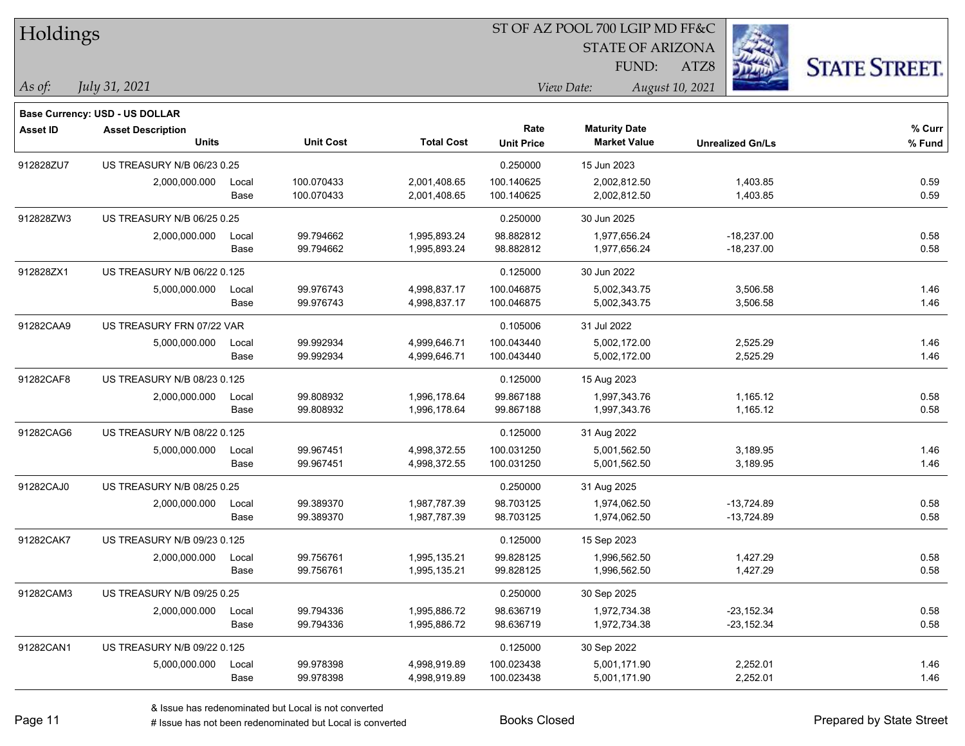| Holdings        |                                          |       |                  |                   |                           | ST OF AZ POOL 700 LGIP MD FF&C              |                         |                      |
|-----------------|------------------------------------------|-------|------------------|-------------------|---------------------------|---------------------------------------------|-------------------------|----------------------|
|                 |                                          |       |                  |                   |                           | <b>STATE OF ARIZONA</b>                     |                         |                      |
|                 |                                          |       |                  |                   |                           | FUND:                                       | ATZ8                    | <b>STATE STREET.</b> |
| $\vert$ As of:  | July 31, 2021                            |       |                  |                   |                           | View Date:                                  | August 10, 2021         |                      |
|                 |                                          |       |                  |                   |                           |                                             |                         |                      |
|                 | Base Currency: USD - US DOLLAR           |       |                  |                   |                           |                                             |                         |                      |
| <b>Asset ID</b> | <b>Asset Description</b><br><b>Units</b> |       | <b>Unit Cost</b> | <b>Total Cost</b> | Rate<br><b>Unit Price</b> | <b>Maturity Date</b><br><b>Market Value</b> | <b>Unrealized Gn/Ls</b> | $%$ Curr<br>% Fund   |
| 912828ZU7       | <b>US TREASURY N/B 06/23 0.25</b>        |       |                  |                   | 0.250000                  | 15 Jun 2023                                 |                         |                      |
|                 | 2,000,000.000                            | Local | 100.070433       | 2,001,408.65      | 100.140625                | 2,002,812.50                                | 1,403.85                | 0.59                 |
|                 |                                          | Base  | 100.070433       | 2,001,408.65      | 100.140625                | 2,002,812.50                                | 1,403.85                | 0.59                 |
| 912828ZW3       | US TREASURY N/B 06/25 0.25               |       |                  |                   | 0.250000                  | 30 Jun 2025                                 |                         |                      |
|                 | 2,000,000.000                            | Local | 99.794662        | 1,995,893.24      | 98.882812                 | 1,977,656.24                                | $-18,237.00$            | 0.58                 |
|                 |                                          | Base  | 99.794662        | 1,995,893.24      | 98.882812                 | 1,977,656.24                                | $-18,237.00$            | 0.58                 |
| 912828ZX1       | US TREASURY N/B 06/22 0.125              |       |                  |                   | 0.125000                  | 30 Jun 2022                                 |                         |                      |
|                 | 5,000,000.000                            | Local | 99.976743        | 4,998,837.17      | 100.046875                | 5,002,343.75                                | 3,506.58                | 1.46                 |
|                 |                                          | Base  | 99.976743        | 4,998,837.17      | 100.046875                | 5,002,343.75                                | 3,506.58                | 1.46                 |
| 91282CAA9       | US TREASURY FRN 07/22 VAR                |       |                  |                   | 0.105006                  | 31 Jul 2022                                 |                         |                      |
|                 | 5,000,000.000                            | Local | 99.992934        | 4,999,646.71      | 100.043440                | 5,002,172.00                                | 2,525.29                | 1.46                 |
|                 |                                          | Base  | 99.992934        | 4,999,646.71      | 100.043440                | 5,002,172.00                                | 2,525.29                | 1.46                 |
| 91282CAF8       | US TREASURY N/B 08/23 0.125              |       |                  |                   | 0.125000                  | 15 Aug 2023                                 |                         |                      |
|                 | 2,000,000.000                            | Local | 99.808932        | 1,996,178.64      | 99.867188                 | 1,997,343.76                                | 1,165.12                | 0.58                 |
|                 |                                          | Base  | 99.808932        | 1,996,178.64      | 99.867188                 | 1,997,343.76                                | 1,165.12                | 0.58                 |
| 91282CAG6       | US TREASURY N/B 08/22 0.125              |       |                  |                   | 0.125000                  | 31 Aug 2022                                 |                         |                      |
|                 | 5,000,000.000                            | Local | 99.967451        | 4,998,372.55      | 100.031250                | 5,001,562.50                                | 3,189.95                | 1.46                 |
|                 |                                          | Base  | 99.967451        | 4,998,372.55      | 100.031250                | 5,001,562.50                                | 3,189.95                | 1.46                 |
| 91282CAJ0       | US TREASURY N/B 08/25 0.25               |       |                  |                   | 0.250000                  | 31 Aug 2025                                 |                         |                      |
|                 | 2,000,000.000                            | Local | 99.389370        | 1,987,787.39      | 98.703125                 | 1,974,062.50                                | $-13,724.89$            | 0.58                 |
|                 |                                          | Base  | 99.389370        | 1,987,787.39      | 98.703125                 | 1,974,062.50                                | $-13,724.89$            | 0.58                 |
| 91282CAK7       | US TREASURY N/B 09/23 0.125              |       |                  |                   | 0.125000                  | 15 Sep 2023                                 |                         |                      |
|                 | 2,000,000.000                            | Local | 99.756761        | 1,995,135.21      | 99.828125                 | 1,996,562.50                                | 1,427.29                | 0.58                 |
|                 |                                          | Base  | 99.756761        | 1,995,135.21      | 99.828125                 | 1,996,562.50                                | 1,427.29                | 0.58                 |
| 91282CAM3       | US TREASURY N/B 09/25 0.25               |       |                  |                   | 0.250000                  | 30 Sep 2025                                 |                         |                      |
|                 | 2,000,000.000                            | Local | 99.794336        | 1,995,886.72      | 98.636719                 | 1,972,734.38                                | $-23, 152.34$           | 0.58                 |
|                 |                                          | Base  | 99.794336        | 1,995,886.72      | 98.636719                 | 1,972,734.38                                | $-23,152.34$            | 0.58                 |
| 91282CAN1       | US TREASURY N/B 09/22 0.125              |       |                  |                   | 0.125000                  | 30 Sep 2022                                 |                         |                      |
|                 | 5,000,000.000                            | Local | 99.978398        | 4,998,919.89      | 100.023438                | 5,001,171.90                                | 2,252.01                | 1.46                 |
|                 |                                          | Base  | 99.978398        | 4,998,919.89      | 100.023438                | 5,001,171.90                                | 2,252.01                | 1.46                 |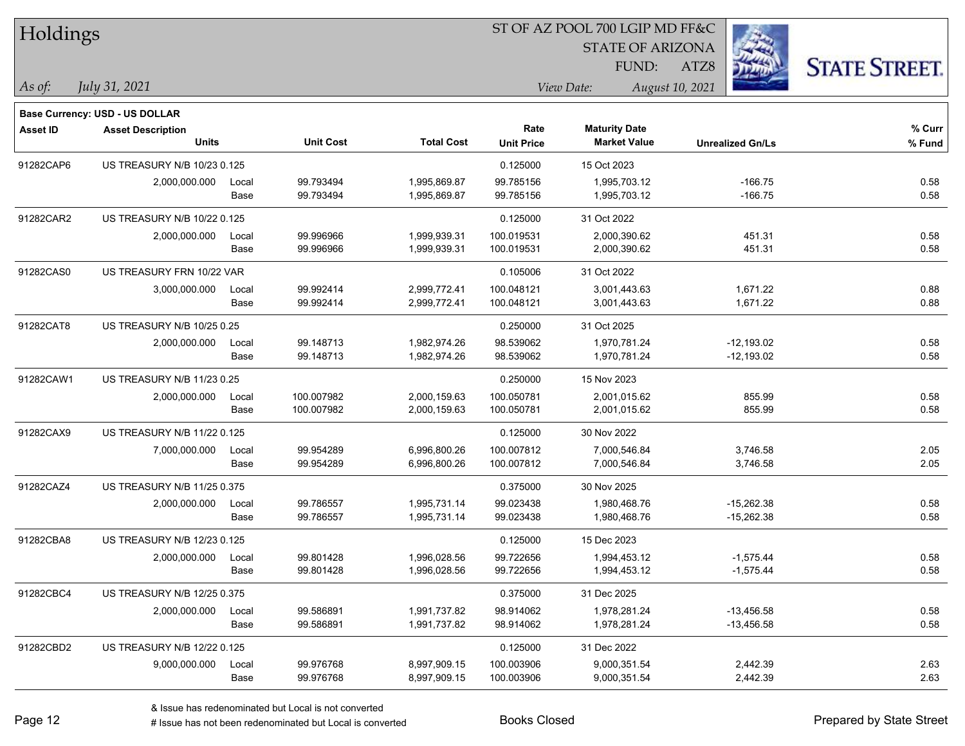| Holdings        |                                          |               |                        |                              | ST OF AZ POOL 700 LGIP MD FF&C |                                             |                         |                      |
|-----------------|------------------------------------------|---------------|------------------------|------------------------------|--------------------------------|---------------------------------------------|-------------------------|----------------------|
|                 |                                          |               |                        |                              |                                | <b>STATE OF ARIZONA</b>                     |                         |                      |
|                 |                                          |               |                        |                              |                                | FUND:                                       | ATZ8                    | <b>STATE STREET.</b> |
| As of:          | July 31, 2021                            |               |                        |                              |                                | View Date:                                  | August 10, 2021         |                      |
|                 |                                          |               |                        |                              |                                |                                             |                         |                      |
|                 | Base Currency: USD - US DOLLAR           |               |                        |                              |                                |                                             |                         |                      |
| <b>Asset ID</b> | <b>Asset Description</b><br><b>Units</b> |               | <b>Unit Cost</b>       | <b>Total Cost</b>            | Rate<br><b>Unit Price</b>      | <b>Maturity Date</b><br><b>Market Value</b> | <b>Unrealized Gn/Ls</b> | % Curr<br>% Fund     |
|                 |                                          |               |                        |                              |                                |                                             |                         |                      |
| 91282CAP6       | US TREASURY N/B 10/23 0.125              |               |                        |                              | 0.125000                       | 15 Oct 2023                                 |                         |                      |
|                 | 2,000,000.000                            | Local<br>Base | 99.793494<br>99.793494 | 1,995,869.87<br>1,995,869.87 | 99.785156<br>99.785156         | 1,995,703.12<br>1,995,703.12                | $-166.75$<br>$-166.75$  | 0.58<br>0.58         |
|                 |                                          |               |                        |                              |                                |                                             |                         |                      |
| 91282CAR2       | US TREASURY N/B 10/22 0.125              |               |                        |                              | 0.125000                       | 31 Oct 2022                                 |                         |                      |
|                 | 2,000,000.000                            | Local<br>Base | 99.996966<br>99.996966 | 1,999,939.31<br>1,999,939.31 | 100.019531<br>100.019531       | 2,000,390.62<br>2,000,390.62                | 451.31<br>451.31        | 0.58<br>0.58         |
| 91282CAS0       | US TREASURY FRN 10/22 VAR                |               |                        |                              | 0.105006                       | 31 Oct 2022                                 |                         |                      |
|                 | 3,000,000.000                            | Local         | 99.992414              | 2,999,772.41                 | 100.048121                     | 3,001,443.63                                | 1,671.22                | 0.88                 |
|                 |                                          | Base          | 99.992414              | 2,999,772.41                 | 100.048121                     | 3,001,443.63                                | 1,671.22                | 0.88                 |
| 91282CAT8       | US TREASURY N/B 10/25 0.25               |               |                        |                              | 0.250000                       | 31 Oct 2025                                 |                         |                      |
|                 | 2,000,000.000                            | Local         | 99.148713              | 1,982,974.26                 | 98.539062                      | 1,970,781.24                                | $-12,193.02$            | 0.58                 |
|                 |                                          | Base          | 99.148713              | 1,982,974.26                 | 98.539062                      | 1,970,781.24                                | $-12,193.02$            | 0.58                 |
| 91282CAW1       | US TREASURY N/B 11/23 0.25               |               |                        |                              | 0.250000                       | 15 Nov 2023                                 |                         |                      |
|                 | 2,000,000.000                            | Local         | 100.007982             | 2,000,159.63                 | 100.050781                     | 2,001,015.62                                | 855.99                  | 0.58                 |
|                 |                                          | Base          | 100.007982             | 2,000,159.63                 | 100.050781                     | 2,001,015.62                                | 855.99                  | 0.58                 |
| 91282CAX9       | US TREASURY N/B 11/22 0.125              |               |                        |                              | 0.125000                       | 30 Nov 2022                                 |                         |                      |
|                 | 7,000,000.000                            | Local         | 99.954289              | 6,996,800.26                 | 100.007812                     | 7,000,546.84                                | 3,746.58                | 2.05                 |
|                 |                                          | Base          | 99.954289              | 6,996,800.26                 | 100.007812                     | 7,000,546.84                                | 3,746.58                | 2.05                 |
| 91282CAZ4       | US TREASURY N/B 11/25 0.375              |               |                        |                              | 0.375000                       | 30 Nov 2025                                 |                         |                      |
|                 | 2,000,000.000                            | Local         | 99.786557              | 1,995,731.14                 | 99.023438                      | 1,980,468.76                                | $-15,262.38$            | 0.58                 |
|                 |                                          | Base          | 99.786557              | 1,995,731.14                 | 99.023438                      | 1,980,468.76                                | $-15,262.38$            | 0.58                 |
| 91282CBA8       | US TREASURY N/B 12/23 0.125              |               |                        |                              | 0.125000                       | 15 Dec 2023                                 |                         |                      |
|                 | 2,000,000.000                            | Local         | 99.801428              | 1,996,028.56                 | 99.722656                      | 1,994,453.12                                | $-1,575.44$             | 0.58                 |
|                 |                                          | Base          | 99.801428              | 1,996,028.56                 | 99.722656                      | 1,994,453.12                                | $-1,575.44$             | 0.58                 |
| 91282CBC4       | US TREASURY N/B 12/25 0.375              |               |                        |                              | 0.375000                       | 31 Dec 2025                                 |                         |                      |
|                 | 2,000,000.000                            | Local         | 99.586891              | 1,991,737.82                 | 98.914062                      | 1,978,281.24                                | $-13,456.58$            | 0.58                 |
|                 |                                          | Base          | 99.586891              | 1,991,737.82                 | 98.914062                      | 1,978,281.24                                | $-13,456.58$            | 0.58                 |
| 91282CBD2       | US TREASURY N/B 12/22 0.125              |               |                        |                              | 0.125000                       | 31 Dec 2022                                 |                         |                      |
|                 | 9,000,000.000                            | Local         | 99.976768              | 8,997,909.15                 | 100.003906                     | 9,000,351.54                                | 2,442.39                | 2.63                 |
|                 |                                          | Base          | 99.976768              | 8,997,909.15                 | 100.003906                     | 9,000,351.54                                | 2,442.39                | 2.63                 |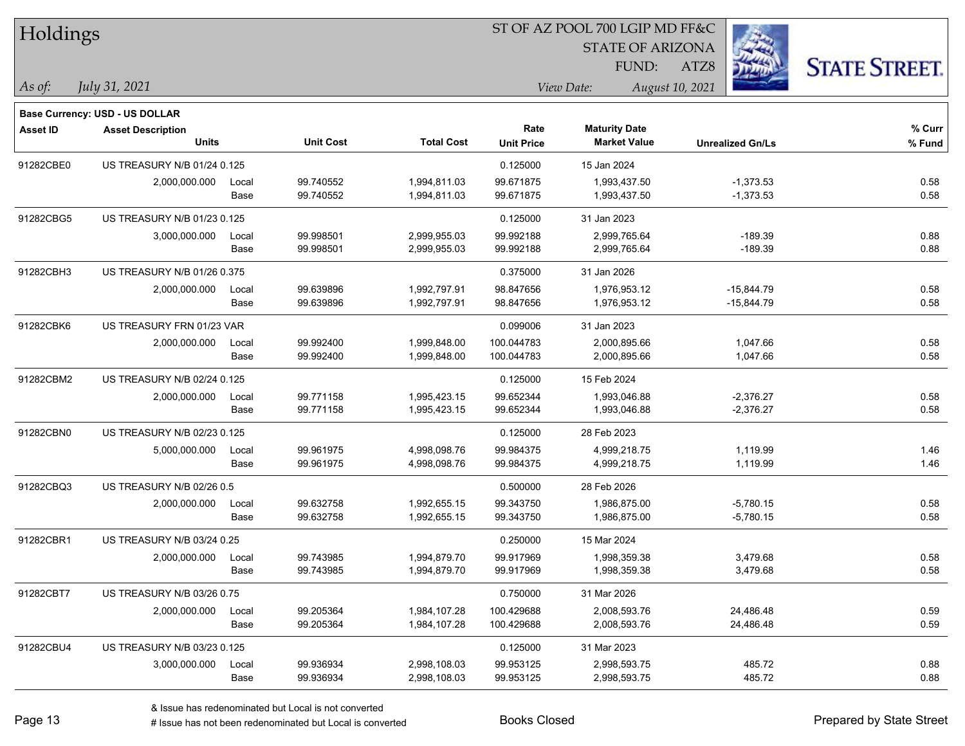| Holdings        |                                                                   |       |                  |                   |                   | ST OF AZ POOL 700 LGIP MD FF&C |                         |                      |  |
|-----------------|-------------------------------------------------------------------|-------|------------------|-------------------|-------------------|--------------------------------|-------------------------|----------------------|--|
|                 |                                                                   |       |                  |                   |                   | <b>STATE OF ARIZONA</b>        |                         |                      |  |
|                 |                                                                   |       |                  |                   |                   | FUND:                          | ATZ8                    | <b>STATE STREET.</b> |  |
| $ As\;of:$      | July 31, 2021                                                     |       |                  |                   |                   | View Date:                     | August 10, 2021         |                      |  |
|                 |                                                                   |       |                  |                   |                   |                                |                         |                      |  |
| <b>Asset ID</b> | <b>Base Currency: USD - US DOLLAR</b><br><b>Asset Description</b> |       |                  |                   | Rate              | <b>Maturity Date</b>           |                         | % Curr               |  |
|                 | <b>Units</b>                                                      |       | <b>Unit Cost</b> | <b>Total Cost</b> | <b>Unit Price</b> | <b>Market Value</b>            | <b>Unrealized Gn/Ls</b> | % Fund               |  |
| 91282CBE0       | US TREASURY N/B 01/24 0.125                                       |       |                  |                   | 0.125000          | 15 Jan 2024                    |                         |                      |  |
|                 | 2,000,000.000                                                     | Local | 99.740552        | 1,994,811.03      | 99.671875         | 1,993,437.50                   | $-1,373.53$             | 0.58                 |  |
|                 |                                                                   | Base  | 99.740552        | 1,994,811.03      | 99.671875         | 1,993,437.50                   | $-1,373.53$             | 0.58                 |  |
| 91282CBG5       | US TREASURY N/B 01/23 0.125                                       |       |                  |                   | 0.125000          | 31 Jan 2023                    |                         |                      |  |
|                 | 3,000,000.000                                                     | Local | 99.998501        | 2,999,955.03      | 99.992188         | 2,999,765.64                   | $-189.39$               | 0.88                 |  |
|                 |                                                                   | Base  | 99.998501        | 2,999,955.03      | 99.992188         | 2,999,765.64                   | $-189.39$               | 0.88                 |  |
| 91282CBH3       | US TREASURY N/B 01/26 0.375                                       |       |                  |                   | 0.375000          | 31 Jan 2026                    |                         |                      |  |
|                 | 2,000,000.000                                                     | Local | 99.639896        | 1,992,797.91      | 98.847656         | 1,976,953.12                   | $-15,844.79$            | 0.58                 |  |
|                 |                                                                   | Base  | 99.639896        | 1,992,797.91      | 98.847656         | 1,976,953.12                   | $-15,844.79$            | 0.58                 |  |
| 91282CBK6       | US TREASURY FRN 01/23 VAR                                         |       |                  |                   | 0.099006          | 31 Jan 2023                    |                         |                      |  |
|                 | 2,000,000.000                                                     | Local | 99.992400        | 1,999,848.00      | 100.044783        | 2,000,895.66                   | 1,047.66                | 0.58                 |  |
|                 |                                                                   | Base  | 99.992400        | 1,999,848.00      | 100.044783        | 2,000,895.66                   | 1,047.66                | 0.58                 |  |
| 91282CBM2       | US TREASURY N/B 02/24 0.125                                       |       |                  |                   | 0.125000          | 15 Feb 2024                    |                         |                      |  |
|                 | 2,000,000.000                                                     | Local | 99.771158        | 1,995,423.15      | 99.652344         | 1,993,046.88                   | $-2,376.27$             | 0.58                 |  |
|                 |                                                                   | Base  | 99.771158        | 1,995,423.15      | 99.652344         | 1,993,046.88                   | $-2,376.27$             | 0.58                 |  |
| 91282CBN0       | US TREASURY N/B 02/23 0.125                                       |       |                  |                   | 0.125000          | 28 Feb 2023                    |                         |                      |  |
|                 | 5,000,000.000                                                     | Local | 99.961975        | 4,998,098.76      | 99.984375         | 4,999,218.75                   | 1,119.99                | 1.46                 |  |
|                 |                                                                   | Base  | 99.961975        | 4,998,098.76      | 99.984375         | 4,999,218.75                   | 1,119.99                | 1.46                 |  |
| 91282CBQ3       | US TREASURY N/B 02/26 0.5                                         |       |                  |                   | 0.500000          | 28 Feb 2026                    |                         |                      |  |
|                 | 2,000,000.000                                                     | Local | 99.632758        | 1,992,655.15      | 99.343750         | 1,986,875.00                   | $-5,780.15$             | 0.58                 |  |
|                 |                                                                   | Base  | 99.632758        | 1,992,655.15      | 99.343750         | 1,986,875.00                   | $-5,780.15$             | 0.58                 |  |
| 91282CBR1       | US TREASURY N/B 03/24 0.25                                        |       |                  |                   | 0.250000          | 15 Mar 2024                    |                         |                      |  |
|                 | 2,000,000.000                                                     | Local | 99.743985        | 1,994,879.70      | 99.917969         | 1,998,359.38                   | 3,479.68                | 0.58                 |  |
|                 |                                                                   | Base  | 99.743985        | 1,994,879.70      | 99.917969         | 1,998,359.38                   | 3,479.68                | 0.58                 |  |
| 91282CBT7       | US TREASURY N/B 03/26 0.75                                        |       |                  |                   | 0.750000          | 31 Mar 2026                    |                         |                      |  |
|                 | 2,000,000.000                                                     | Local | 99.205364        | 1,984,107.28      | 100.429688        | 2,008,593.76                   | 24,486.48               | 0.59                 |  |
|                 |                                                                   | Base  | 99.205364        | 1,984,107.28      | 100.429688        | 2,008,593.76                   | 24,486.48               | 0.59                 |  |
| 91282CBU4       | US TREASURY N/B 03/23 0.125                                       |       |                  |                   | 0.125000          | 31 Mar 2023                    |                         |                      |  |
|                 | 3,000,000.000                                                     | Local | 99.936934        | 2,998,108.03      | 99.953125         | 2,998,593.75                   | 485.72                  | 0.88                 |  |
|                 |                                                                   | Base  | 99.936934        | 2,998,108.03      | 99.953125         | 2,998,593.75                   | 485.72                  | 0.88                 |  |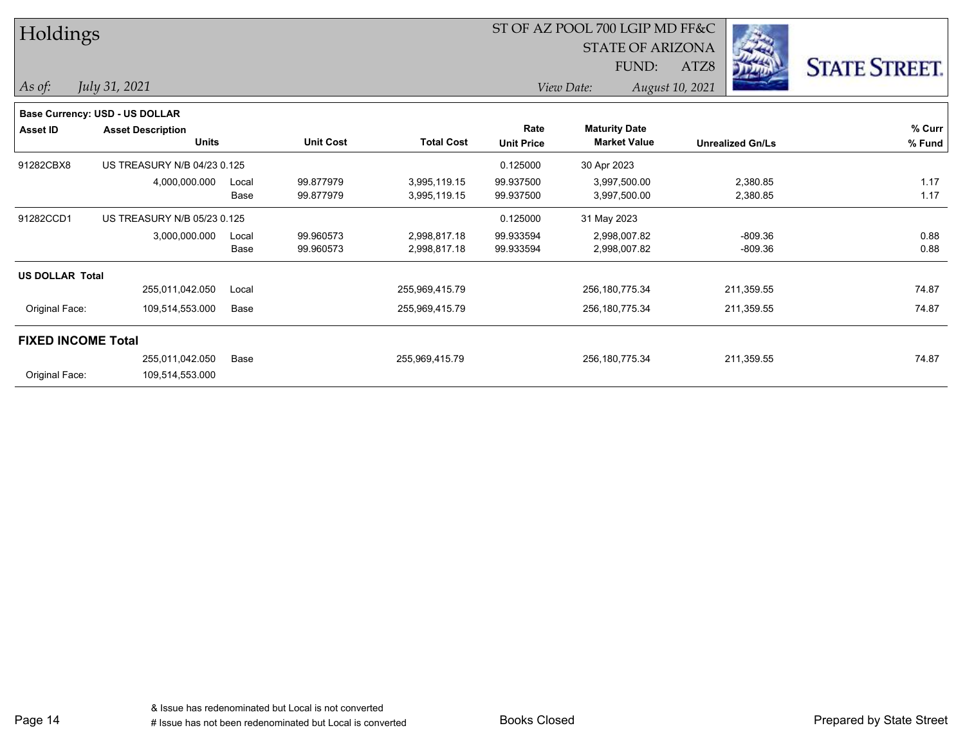| Holdings               |                                |       |                  |                   |                   | ST OF AZ POOL 700 LGIP MD FF&C |                         |                      |
|------------------------|--------------------------------|-------|------------------|-------------------|-------------------|--------------------------------|-------------------------|----------------------|
|                        |                                |       |                  |                   |                   | <b>STATE OF ARIZONA</b>        |                         |                      |
|                        |                                |       |                  |                   |                   | FUND:                          | ATZ8                    | <b>STATE STREET.</b> |
| $\vert$ As of:         | July 31, 2021                  |       |                  |                   |                   | View Date:                     | August 10, 2021         |                      |
|                        | Base Currency: USD - US DOLLAR |       |                  |                   |                   |                                |                         |                      |
| <b>Asset ID</b>        | <b>Asset Description</b>       |       |                  |                   | Rate              | <b>Maturity Date</b>           |                         | % Curr               |
|                        | <b>Units</b>                   |       | <b>Unit Cost</b> | <b>Total Cost</b> | <b>Unit Price</b> | <b>Market Value</b>            | <b>Unrealized Gn/Ls</b> | % Fund               |
| 91282CBX8              | US TREASURY N/B 04/23 0.125    |       |                  |                   | 0.125000          | 30 Apr 2023                    |                         |                      |
|                        | 4,000,000.000                  | Local | 99.877979        | 3,995,119.15      | 99.937500         | 3,997,500.00                   | 2,380.85                | 1.17                 |
|                        |                                | Base  | 99.877979        | 3,995,119.15      | 99.937500         | 3,997,500.00                   | 2,380.85                | 1.17                 |
| 91282CCD1              | US TREASURY N/B 05/23 0.125    |       |                  |                   | 0.125000          | 31 May 2023                    |                         |                      |
|                        | 3,000,000.000                  | Local | 99.960573        | 2,998,817.18      | 99.933594         | 2,998,007.82                   | $-809.36$               | 0.88                 |
|                        |                                | Base  | 99.960573        | 2,998,817.18      | 99.933594         | 2,998,007.82                   | $-809.36$               | 0.88                 |
| <b>US DOLLAR Total</b> |                                |       |                  |                   |                   |                                |                         |                      |
|                        | 255,011,042.050                | Local |                  | 255,969,415.79    |                   | 256,180,775.34                 | 211,359.55              | 74.87                |
| Original Face:         | 109,514,553.000                | Base  |                  | 255,969,415.79    |                   | 256,180,775.34                 | 211,359.55              | 74.87                |
|                        | <b>FIXED INCOME Total</b>      |       |                  |                   |                   |                                |                         |                      |
|                        | 255,011,042.050                | Base  |                  | 255,969,415.79    |                   | 256,180,775.34                 | 211,359.55              | 74.87                |
| Original Face:         | 109,514,553.000                |       |                  |                   |                   |                                |                         |                      |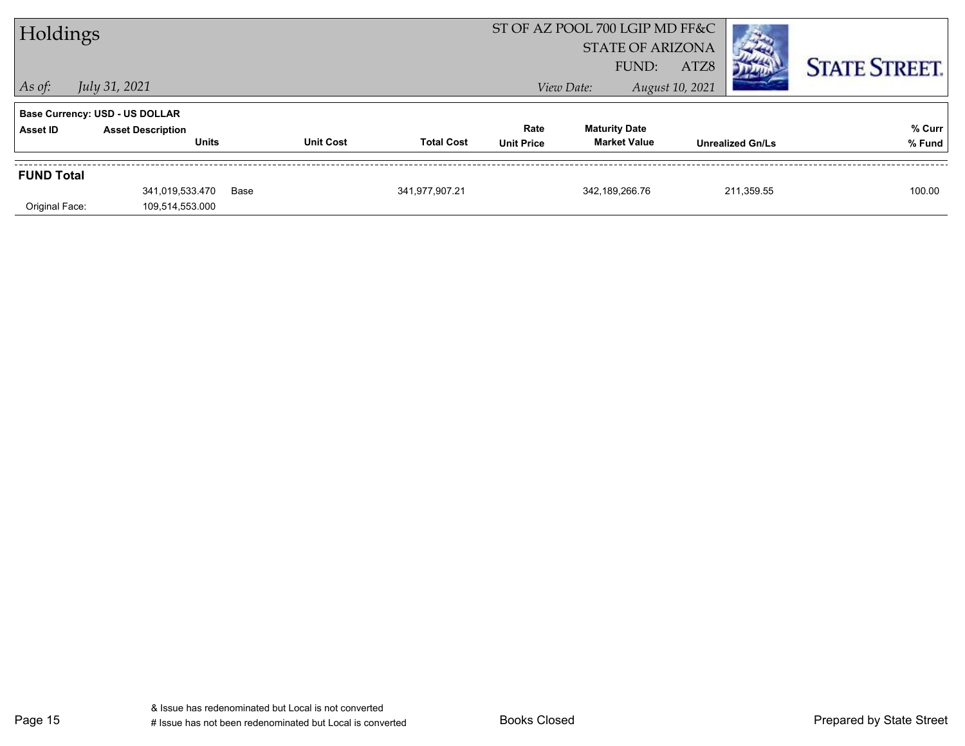| Holdings                            |                                                                                   |                  |                   |                           | ST OF AZ POOL 700 LGIP MD FF&C<br><b>STATE OF ARIZONA</b> |                         |                      |
|-------------------------------------|-----------------------------------------------------------------------------------|------------------|-------------------|---------------------------|-----------------------------------------------------------|-------------------------|----------------------|
| $\vert$ As of:                      | July 31, 2021                                                                     |                  |                   |                           | FUND:<br>View Date:                                       | ATZ8<br>August 10, 2021 | <b>STATE STREET.</b> |
| Asset ID                            | <b>Base Currency: USD - US DOLLAR</b><br><b>Asset Description</b><br><b>Units</b> | <b>Unit Cost</b> | <b>Total Cost</b> | Rate<br><b>Unit Price</b> | <b>Maturity Date</b><br><b>Market Value</b>               | <b>Unrealized Gn/Ls</b> | % Curr<br>% Fund     |
| <b>FUND Total</b><br>Original Face: | 341,019,533.470<br>109,514,553.000                                                | Base             | 341,977,907.21    |                           | 342.189.266.76                                            | 211,359.55              | 100.00               |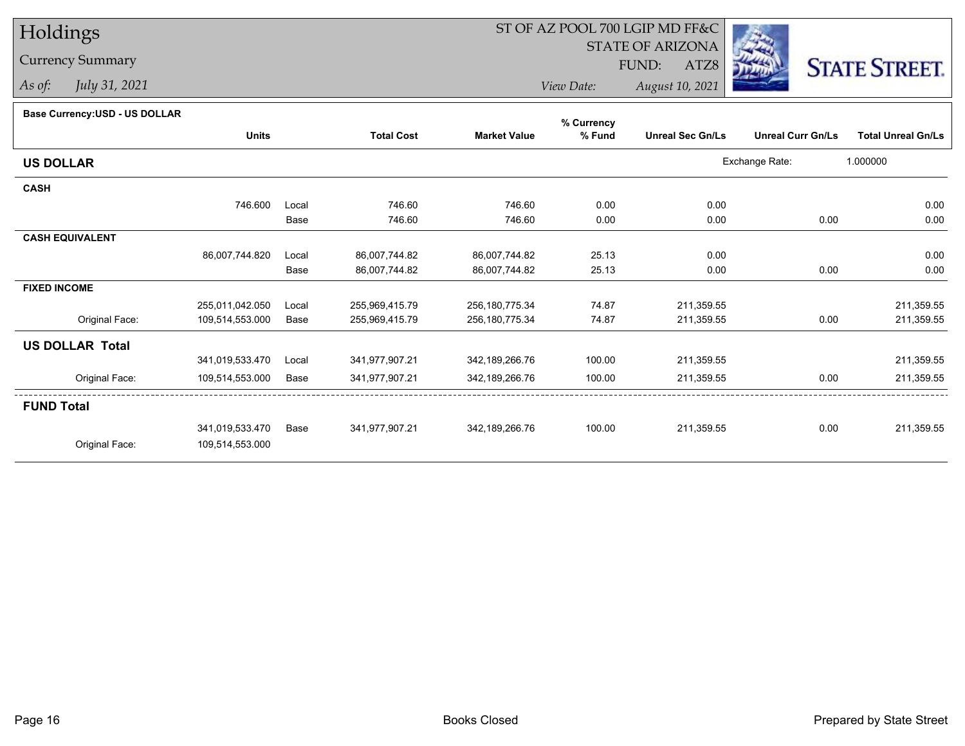Currency Summary

*As of: July 31, 2021*

# ST OF AZ POOL 700 LGIP MD FF&C

STATE OF ARIZONA

FUND:

ATZ8



*View Date:August 10, 2021*

# **Base Currency:USD - US DOLLAR**

|                        |                 |       |                   |                     | % Currency |                         |                          |                           |
|------------------------|-----------------|-------|-------------------|---------------------|------------|-------------------------|--------------------------|---------------------------|
|                        | <b>Units</b>    |       | <b>Total Cost</b> | <b>Market Value</b> | % Fund     | <b>Unreal Sec Gn/Ls</b> | <b>Unreal Curr Gn/Ls</b> | <b>Total Unreal Gn/Ls</b> |
| <b>US DOLLAR</b>       |                 |       |                   |                     |            |                         | Exchange Rate:           | 1.000000                  |
| <b>CASH</b>            |                 |       |                   |                     |            |                         |                          |                           |
|                        | 746.600         | Local | 746.60            | 746.60              | 0.00       | 0.00                    |                          | 0.00                      |
|                        |                 | Base  | 746.60            | 746.60              | 0.00       | 0.00                    | 0.00                     | 0.00                      |
| <b>CASH EQUIVALENT</b> |                 |       |                   |                     |            |                         |                          |                           |
|                        | 86,007,744.820  | Local | 86,007,744.82     | 86,007,744.82       | 25.13      | 0.00                    |                          | 0.00                      |
|                        |                 | Base  | 86,007,744.82     | 86,007,744.82       | 25.13      | 0.00                    | 0.00                     | 0.00                      |
| <b>FIXED INCOME</b>    |                 |       |                   |                     |            |                         |                          |                           |
|                        | 255,011,042.050 | Local | 255,969,415.79    | 256,180,775.34      | 74.87      | 211,359.55              |                          | 211,359.55                |
| Original Face:         | 109,514,553.000 | Base  | 255,969,415.79    | 256,180,775.34      | 74.87      | 211,359.55              | 0.00                     | 211,359.55                |
| <b>US DOLLAR Total</b> |                 |       |                   |                     |            |                         |                          |                           |
|                        | 341,019,533.470 | Local | 341,977,907.21    | 342,189,266.76      | 100.00     | 211,359.55              |                          | 211,359.55                |
| Original Face:         | 109,514,553.000 | Base  | 341,977,907.21    | 342,189,266.76      | 100.00     | 211,359.55              | 0.00                     | 211,359.55                |
| <b>FUND Total</b>      |                 |       |                   |                     |            |                         |                          |                           |
|                        | 341,019,533.470 | Base  | 341,977,907.21    | 342,189,266.76      | 100.00     | 211,359.55              | 0.00                     | 211,359.55                |
| Original Face:         | 109,514,553.000 |       |                   |                     |            |                         |                          |                           |
|                        |                 |       |                   |                     |            |                         |                          |                           |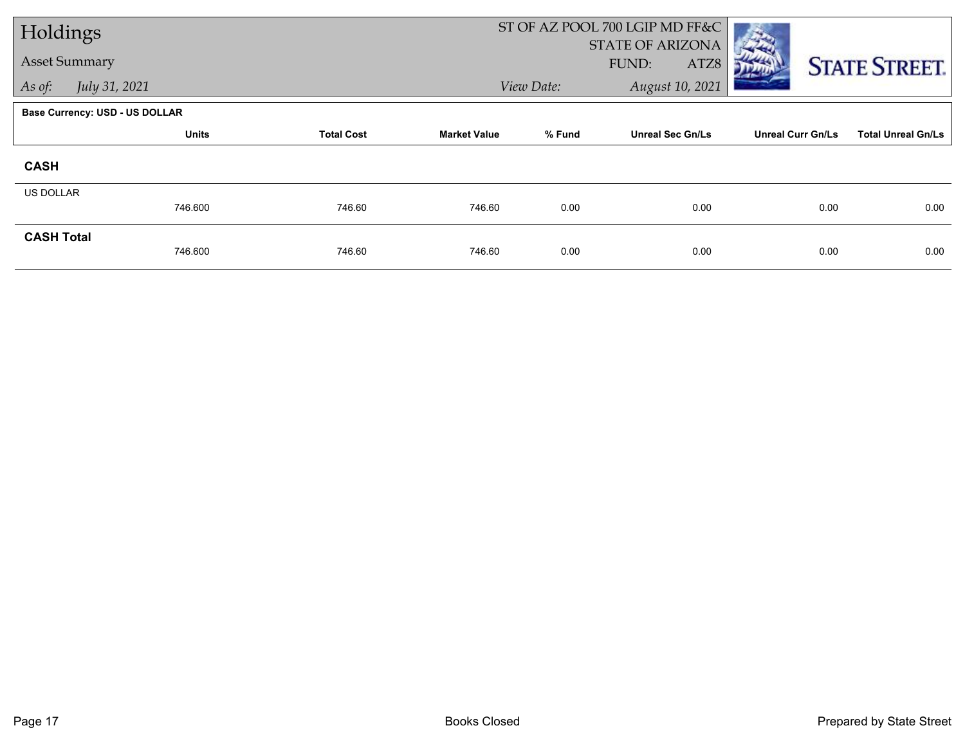| Holdings             |                                       |                   |                     |            | ST OF AZ POOL 700 LGIP MD FF&C |                          |                           |
|----------------------|---------------------------------------|-------------------|---------------------|------------|--------------------------------|--------------------------|---------------------------|
| <b>Asset Summary</b> |                                       |                   |                     |            | STATE OF ARIZONA               |                          |                           |
|                      |                                       |                   |                     |            | FUND:<br>ATZ8                  |                          | <b>STATE STREET.</b>      |
| As of:               | July 31, 2021                         |                   |                     | View Date: | August 10, 2021                |                          |                           |
|                      | <b>Base Currency: USD - US DOLLAR</b> |                   |                     |            |                                |                          |                           |
|                      | <b>Units</b>                          | <b>Total Cost</b> | <b>Market Value</b> | % Fund     | <b>Unreal Sec Gn/Ls</b>        | <b>Unreal Curr Gn/Ls</b> | <b>Total Unreal Gn/Ls</b> |
| <b>CASH</b>          |                                       |                   |                     |            |                                |                          |                           |
| US DOLLAR            |                                       |                   |                     |            |                                |                          |                           |
|                      | 746.600                               | 746.60            | 746.60              | 0.00       | 0.00                           | 0.00                     | 0.00                      |
| <b>CASH Total</b>    |                                       |                   |                     |            |                                |                          |                           |
|                      | 746.600                               | 746.60            | 746.60              | 0.00       | 0.00                           | 0.00                     | 0.00                      |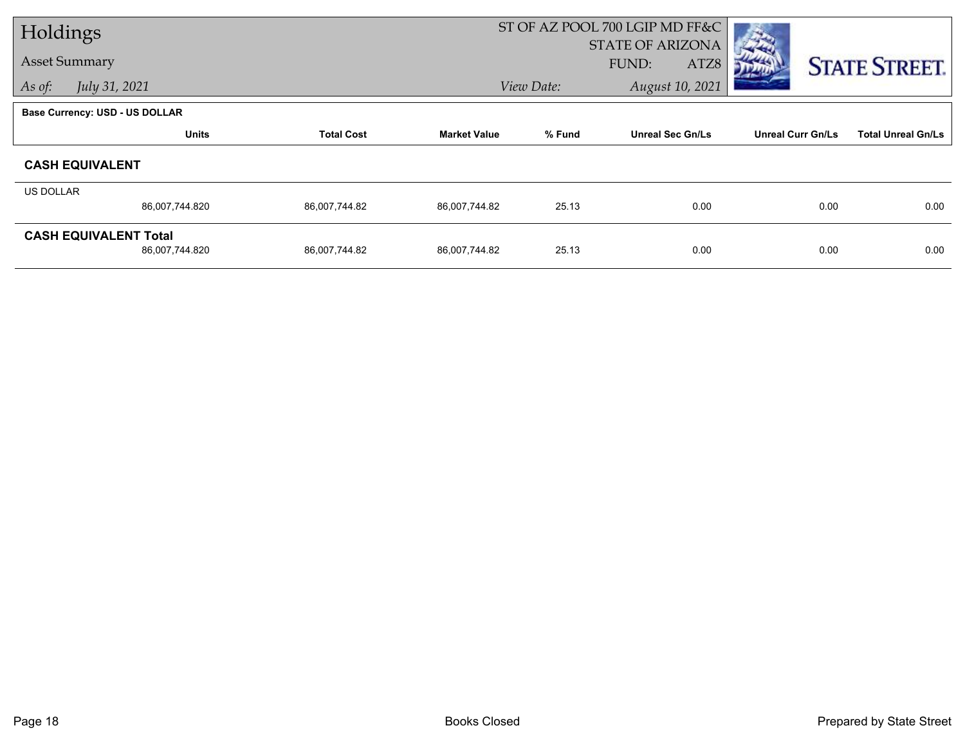| Holdings             |                                       |                   |                     |                         | ST OF AZ POOL 700 LGIP MD FF&C |                          |                           |
|----------------------|---------------------------------------|-------------------|---------------------|-------------------------|--------------------------------|--------------------------|---------------------------|
| <b>Asset Summary</b> |                                       |                   |                     | <b>STATE OF ARIZONA</b> |                                |                          |                           |
|                      |                                       |                   |                     |                         | FUND:<br>ATZ8                  |                          | <b>STATE STREET.</b>      |
| As of:               | July 31, 2021                         |                   |                     | View Date:              | August 10, 2021                |                          |                           |
|                      | <b>Base Currency: USD - US DOLLAR</b> |                   |                     |                         |                                |                          |                           |
|                      | <b>Units</b>                          | <b>Total Cost</b> | <b>Market Value</b> | % Fund                  | <b>Unreal Sec Gn/Ls</b>        | <b>Unreal Curr Gn/Ls</b> | <b>Total Unreal Gn/Ls</b> |
|                      | <b>CASH EQUIVALENT</b>                |                   |                     |                         |                                |                          |                           |
| US DOLLAR            |                                       |                   |                     |                         |                                |                          |                           |
|                      | 86,007,744.820                        | 86,007,744.82     | 86,007,744.82       | 25.13                   | 0.00                           | 0.00                     | 0.00                      |
|                      | <b>CASH EQUIVALENT Total</b>          |                   |                     |                         |                                |                          |                           |
|                      | 86,007,744.820                        | 86,007,744.82     | 86,007,744.82       | 25.13                   | 0.00                           | 0.00                     | 0.00                      |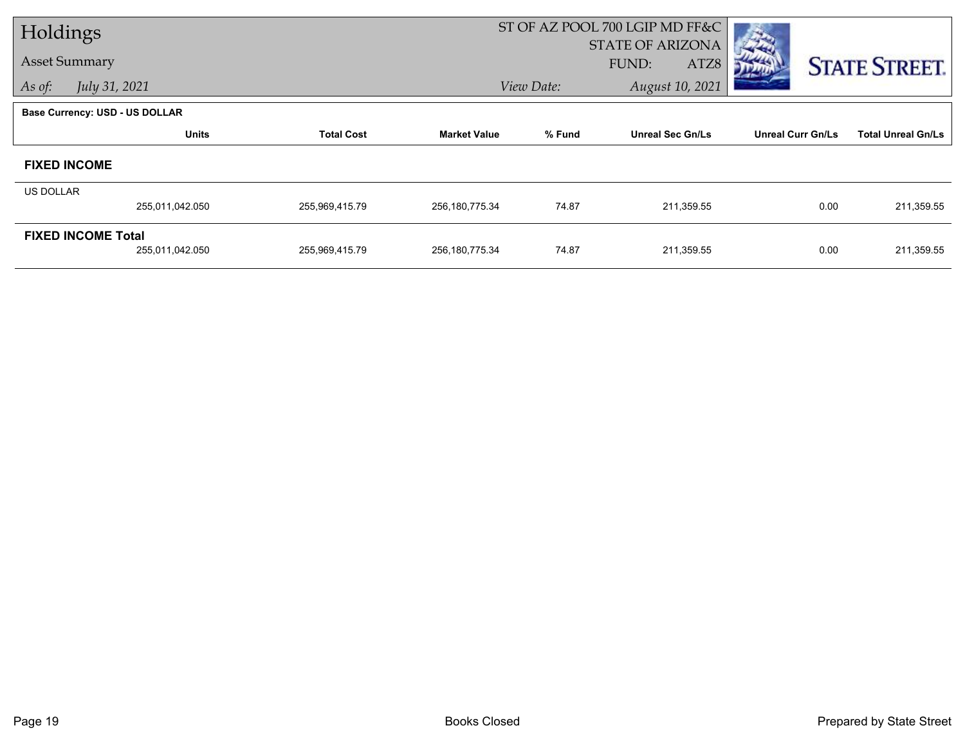| Holdings                  |                                       |                   |                     |            | ST OF AZ POOL 700 LGIP MD FF&C |                          |                           |
|---------------------------|---------------------------------------|-------------------|---------------------|------------|--------------------------------|--------------------------|---------------------------|
|                           |                                       |                   |                     |            | <b>STATE OF ARIZONA</b>        |                          |                           |
|                           | <b>Asset Summary</b>                  |                   |                     |            | FUND:<br>ATZ8                  |                          | <b>STATE STREET.</b>      |
| As of:                    | July 31, 2021                         |                   |                     | View Date: | August 10, 2021                |                          |                           |
|                           | <b>Base Currency: USD - US DOLLAR</b> |                   |                     |            |                                |                          |                           |
|                           | <b>Units</b>                          | <b>Total Cost</b> | <b>Market Value</b> | % Fund     | <b>Unreal Sec Gn/Ls</b>        | <b>Unreal Curr Gn/Ls</b> | <b>Total Unreal Gn/Ls</b> |
|                           | <b>FIXED INCOME</b>                   |                   |                     |            |                                |                          |                           |
| US DOLLAR                 |                                       |                   |                     |            |                                |                          |                           |
|                           | 255,011,042.050                       | 255,969,415.79    | 256,180,775.34      | 74.87      | 211,359.55                     | 0.00                     | 211,359.55                |
| <b>FIXED INCOME Total</b> |                                       |                   |                     |            |                                |                          |                           |
|                           | 255,011,042.050                       | 255,969,415.79    | 256,180,775.34      | 74.87      | 211,359.55                     | 0.00                     | 211,359.55                |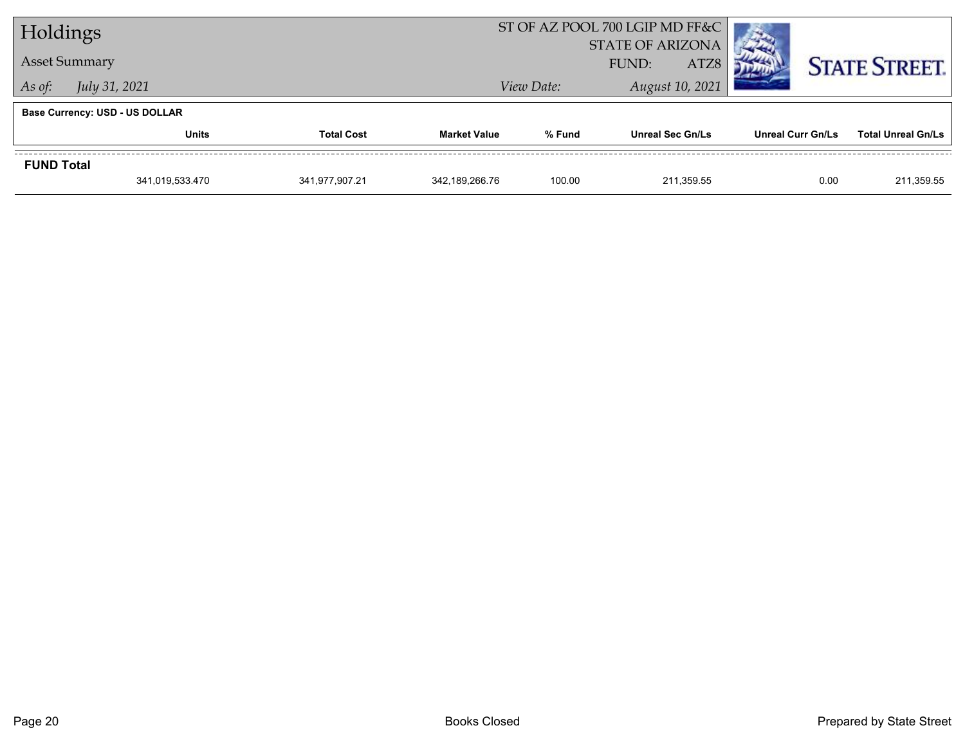| Holdings             |                                       |                   |                     | ST OF AZ POOL 700 LGIP MD FF&C           |                         |                          |                           |
|----------------------|---------------------------------------|-------------------|---------------------|------------------------------------------|-------------------------|--------------------------|---------------------------|
| <b>Asset Summary</b> |                                       |                   |                     | <b>STATE OF ARIZONA</b><br>ATZ8<br>FUND: |                         | <b>STATE STREET.</b>     |                           |
| As of:               | <i>July 31, 2021</i>                  |                   |                     | View Date:                               | August 10, 2021         |                          |                           |
|                      | <b>Base Currency: USD - US DOLLAR</b> |                   |                     |                                          |                         |                          |                           |
|                      | <b>Units</b>                          | <b>Total Cost</b> | <b>Market Value</b> | % Fund                                   | <b>Unreal Sec Gn/Ls</b> | <b>Unreal Curr Gn/Ls</b> | <b>Total Unreal Gn/Ls</b> |
| <b>FUND Total</b>    |                                       |                   |                     |                                          |                         |                          |                           |
|                      | 341,019,533.470                       | 341,977,907.21    | 342,189,266.76      | 100.00                                   | 211.359.55              | 0.00                     | 211,359.55                |